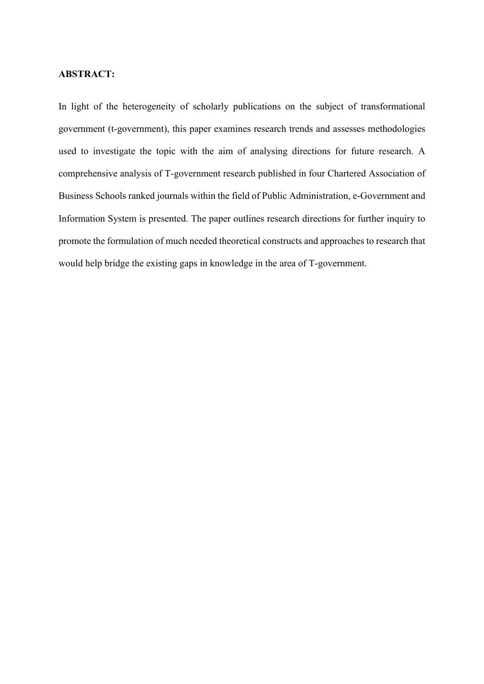## **ABSTRACT:**

In light of the heterogeneity of scholarly publications on the subject of transformational government (t-government), this paper examines research trends and assesses methodologies used to investigate the topic with the aim of analysing directions for future research. A comprehensive analysis of T-government research published in four Chartered Association of Business Schools ranked journals within the field of Public Administration, e-Government and Information System is presented. The paper outlines research directions for further inquiry to promote the formulation of much needed theoretical constructs and approaches to research that would help bridge the existing gaps in knowledge in the area of T-government.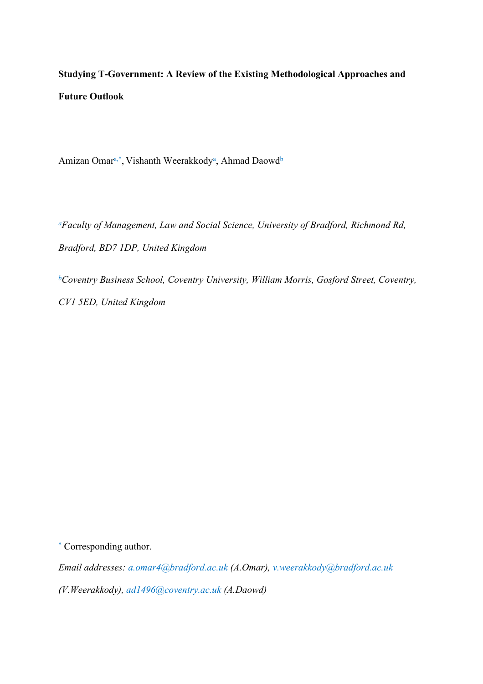# **Studying T-Government: A Review of the Existing Methodological Approaches and Future Outlook**

Amizan Omar<sup>a,\*</sup>, Vishanth Weerakkody<sup>a</sup>, Ahmad Daowd<sup>b</sup>

*<sup>a</sup>Faculty of Management, Law and Social Science, University of Bradford, Richmond Rd, Bradford, BD7 1DP, United Kingdom*

*<sup>b</sup>Coventry Business School, Coventry University, William Morris, Gosford Street, Coventry, CV1 5ED, United Kingdom*

<sup>\*</sup> Corresponding author.

*Email addresses: a.omar4@bradford.ac.uk (A.Omar), v.weerakkody@bradford.ac.uk* 

*<sup>(</sup>V.Weerakkody), ad1496@coventry.ac.uk (A.Daowd)*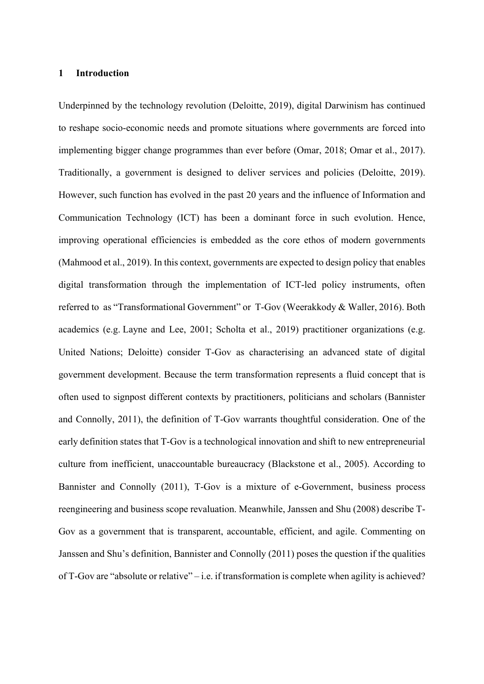## **1 Introduction**

Underpinned by the technology revolution (Deloitte, 2019), digital Darwinism has continued to reshape socio-economic needs and promote situations where governments are forced into implementing bigger change programmes than ever before (Omar, 2018; Omar et al., 2017). Traditionally, a government is designed to deliver services and policies (Deloitte, 2019). However, such function has evolved in the past 20 years and the influence of Information and Communication Technology (ICT) has been a dominant force in such evolution. Hence, improving operational efficiencies is embedded as the core ethos of modern governments (Mahmood et al., 2019). In this context, governments are expected to design policy that enables digital transformation through the implementation of ICT-led policy instruments, often referred to as "Transformational Government" or T-Gov (Weerakkody & Waller, 2016). Both academics (e.g. [Layne and Lee, 2001;](https://journals.sagepub.com/doi/full/10.1177/0020852318816798) Scholta et al., 2019) practitioner organizations (e.g. [United Nations;](https://journals.sagepub.com/doi/full/10.1177/0020852318816798) Deloitte) consider T-Gov as characterising an advanced state of digital government development. Because the term transformation represents a fluid concept that is often used to signpost different contexts by practitioners, politicians and scholars (Bannister and Connolly, 2011), the definition of T-Gov warrants thoughtful consideration. One of the early definition states that T-Gov is a technological innovation and shift to new entrepreneurial culture from inefficient, unaccountable bureaucracy (Blackstone et al., 2005). According to Bannister and Connolly (2011), T-Gov is a mixture of e-Government, business process reengineering and business scope revaluation. Meanwhile, Janssen and Shu (2008) describe T-Gov as a government that is transparent, accountable, efficient, and agile. Commenting on Janssen and Shu's definition, Bannister and Connolly (2011) poses the question if the qualities of T-Gov are "absolute or relative" – i.e. if transformation is complete when agility is achieved?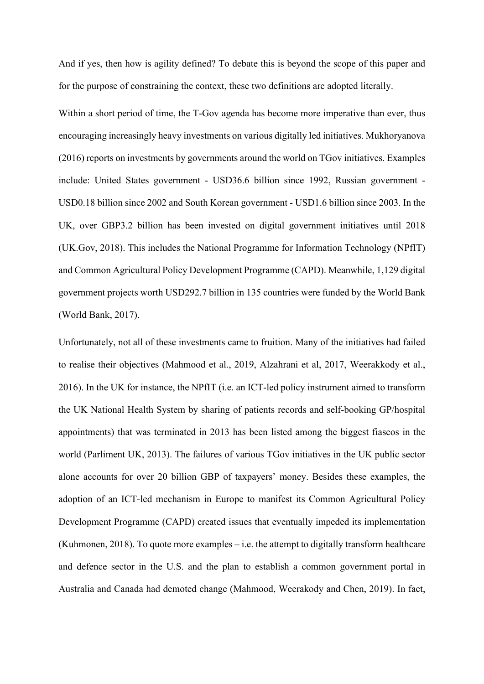And if yes, then how is agility defined? To debate this is beyond the scope of this paper and for the purpose of constraining the context, these two definitions are adopted literally.

Within a short period of time, the T-Gov agenda has become more imperative than ever, thus encouraging increasingly heavy investments on various digitally led initiatives. Mukhoryanova (2016) reports on investments by governments around the world on TGov initiatives. Examples include: United States government - USD36.6 billion since 1992, Russian government - USD0.18 billion since 2002 and South Korean government - USD1.6 billion since 2003. In the UK, over GBP3.2 billion has been invested on digital government initiatives until 2018 (UK.Gov, 2018). This includes the National Programme for Information Technology (NPfIT) and Common Agricultural Policy Development Programme (CAPD). Meanwhile, 1,129 digital government projects worth USD292.7 billion in 135 countries were funded by the World Bank (World Bank, 2017).

Unfortunately, not all of these investments came to fruition. Many of the initiatives had failed to realise their objectives (Mahmood et al., 2019, Alzahrani et al, 2017, Weerakkody et al., 2016). In the UK for instance, the NPfIT (i.e. an ICT-led policy instrument aimed to transform the UK National Health System by sharing of patients records and self-booking GP/hospital appointments) that was terminated in 2013 has been listed among the biggest fiascos in the world (Parliment UK, 2013). The failures of various TGov initiatives in the UK public sector alone accounts for over 20 billion GBP of taxpayers' money. Besides these examples, the adoption of an ICT-led mechanism in Europe to manifest its Common Agricultural Policy Development Programme (CAPD) created issues that eventually impeded its implementation (Kuhmonen, 2018). To quote more examples  $-$  i.e. the attempt to digitally transform healthcare and defence sector in the U.S. and the plan to establish a common government portal in Australia and Canada had demoted change (Mahmood, Weerakody and Chen, 2019). In fact,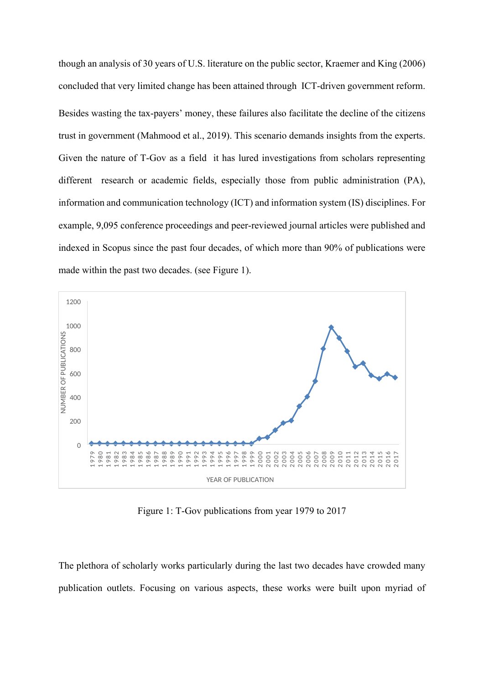though an analysis of 30 years of U.S. literature on the public sector, Kraemer and King (2006) concluded that very limited change has been attained through ICT-driven government reform. Besides wasting the tax-payers' money, these failures also facilitate the decline of the citizens trust in government (Mahmood et al., 2019). This scenario demands insights from the experts. Given the nature of T-Gov as a field it has lured investigations from scholars representing different research or academic fields, especially those from public administration (PA), information and communication technology (ICT) and information system (IS) disciplines. For example, 9,095 conference proceedings and peer-reviewed journal articles were published and indexed in Scopus since the past four decades, of which more than 90% of publications were made within the past two decades. (see Figure 1).



Figure 1: T-Gov publications from year 1979 to 2017

The plethora of scholarly works particularly during the last two decades have crowded many publication outlets. Focusing on various aspects, these works were built upon myriad of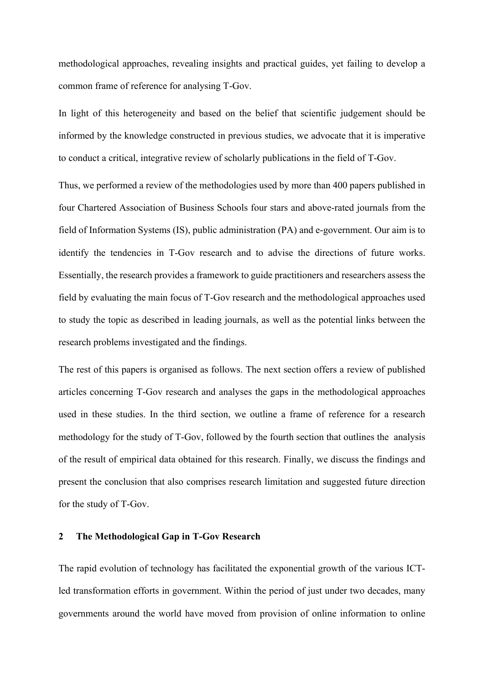methodological approaches, revealing insights and practical guides, yet failing to develop a common frame of reference for analysing T-Gov.

In light of this heterogeneity and based on the belief that scientific judgement should be informed by the knowledge constructed in previous studies, we advocate that it is imperative to conduct a critical, integrative review of scholarly publications in the field of T-Gov.

Thus, we performed a review of the methodologies used by more than 400 papers published in four Chartered Association of Business Schools four stars and above-rated journals from the field of Information Systems (IS), public administration (PA) and e-government. Our aim is to identify the tendencies in T-Gov research and to advise the directions of future works. Essentially, the research provides a framework to guide practitioners and researchers assess the field by evaluating the main focus of T-Gov research and the methodological approaches used to study the topic as described in leading journals, as well as the potential links between the research problems investigated and the findings.

The rest of this papers is organised as follows. The next section offers a review of published articles concerning T-Gov research and analyses the gaps in the methodological approaches used in these studies. In the third section, we outline a frame of reference for a research methodology for the study of T-Gov, followed by the fourth section that outlines the analysis of the result of empirical data obtained for this research. Finally, we discuss the findings and present the conclusion that also comprises research limitation and suggested future direction for the study of T-Gov.

## **2 The Methodological Gap in T-Gov Research**

The rapid evolution of technology has facilitated the exponential growth of the various ICTled transformation efforts in government. Within the period of just under two decades, many governments around the world have moved from provision of online information to online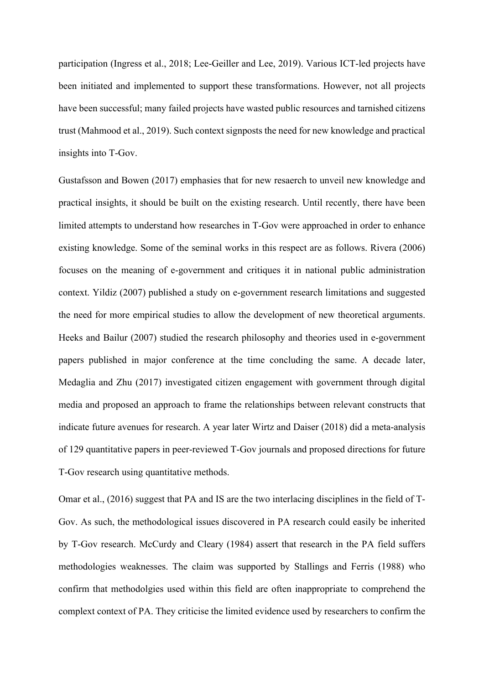participation (Ingress et al., 2018; Lee-Geiller and Lee, 2019). Various ICT-led projects have been initiated and implemented to support these transformations. However, not all projects have been successful; many failed projects have wasted public resources and tarnished citizens trust (Mahmood et al., 2019). Such context signposts the need for new knowledge and practical insights into T-Gov.

Gustafsson and Bowen (2017) emphasies that for new resaerch to unveil new knowledge and practical insights, it should be built on the existing research. Until recently, there have been limited attempts to understand how researches in T-Gov were approached in order to enhance existing knowledge. Some of the seminal works in this respect are as follows. Rivera (2006) focuses on the meaning of e-government and critiques it in national public administration context. Yildiz (2007) published a study on e-government research limitations and suggested the need for more empirical studies to allow the development of new theoretical arguments. Heeks and Bailur (2007) studied the research philosophy and theories used in e-government papers published in major conference at the time concluding the same. A decade later, Medaglia and Zhu (2017) investigated citizen engagement with government through digital media and proposed an approach to frame the relationships between relevant constructs that indicate future avenues for research. A year later Wirtz and Daiser (2018) did a meta-analysis of 129 quantitative papers in peer-reviewed T-Gov journals and proposed directions for future T-Gov research using quantitative methods.

Omar et al., (2016) suggest that PA and IS are the two interlacing disciplines in the field of T-Gov. As such, the methodological issues discovered in PA research could easily be inherited by T-Gov research. McCurdy and Cleary (1984) assert that research in the PA field suffers methodologies weaknesses. The claim was supported by Stallings and Ferris (1988) who confirm that methodolgies used within this field are often inappropriate to comprehend the complext context of PA. They criticise the limited evidence used by researchers to confirm the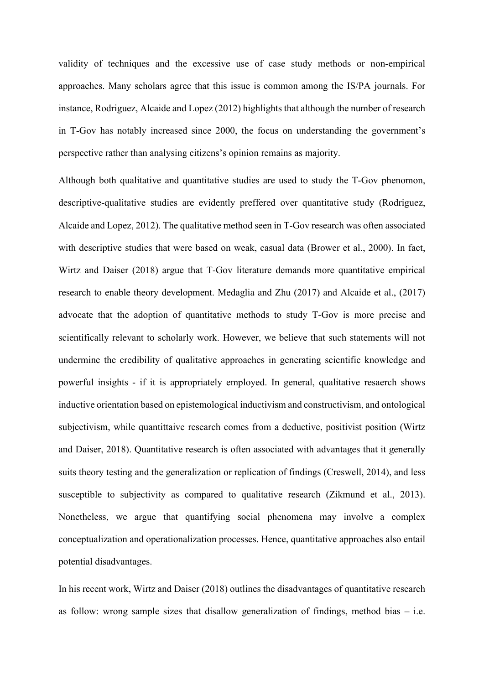validity of techniques and the excessive use of case study methods or non-empirical approaches. Many scholars agree that this issue is common among the IS/PA journals. For instance, Rodriguez, Alcaide and Lopez (2012) highlights that although the number of research in T-Gov has notably increased since 2000, the focus on understanding the government's perspective rather than analysing citizens's opinion remains as majority.

Although both qualitative and quantitative studies are used to study the T-Gov phenomon, descriptive-qualitative studies are evidently preffered over quantitative study (Rodriguez, Alcaide and Lopez, 2012). The qualitative method seen in T-Gov research was often associated with descriptive studies that were based on weak, casual data (Brower et al., 2000). In fact, Wirtz and Daiser (2018) argue that T-Gov literature demands more quantitative empirical research to enable theory development. Medaglia and Zhu (2017) and Alcaide et al., (2017) advocate that the adoption of quantitative methods to study T-Gov is more precise and scientifically relevant to scholarly work. However, we believe that such statements will not undermine the credibility of qualitative approaches in generating scientific knowledge and powerful insights - if it is appropriately employed. In general, qualitative resaerch shows inductive orientation based on epistemological inductivism and constructivism, and ontological subjectivism, while quantittaive research comes from a deductive, positivist position (Wirtz and Daiser, 2018). Quantitative research is often associated with advantages that it generally suits theory testing and the generalization or replication of findings (Creswell, 2014), and less susceptible to subjectivity as compared to qualitative research (Zikmund et al., 2013). Nonetheless, we argue that quantifying social phenomena may involve a complex conceptualization and operationalization processes. Hence, quantitative approaches also entail potential disadvantages.

In his recent work, Wirtz and Daiser (2018) outlines the disadvantages of quantitative research as follow: wrong sample sizes that disallow generalization of findings, method bias  $-$  i.e.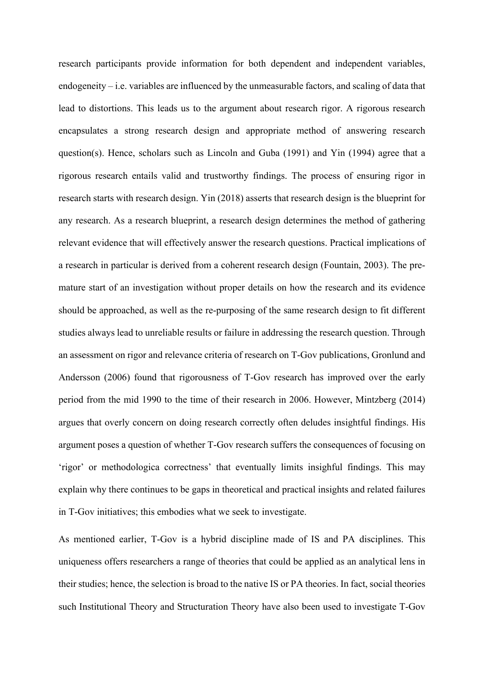research participants provide information for both dependent and independent variables, endogeneity – i.e. variables are influenced by the unmeasurable factors, and scaling of data that lead to distortions. This leads us to the argument about research rigor. A rigorous research encapsulates a strong research design and appropriate method of answering research question(s). Hence, scholars such as Lincoln and Guba (1991) and Yin (1994) agree that a rigorous research entails valid and trustworthy findings. The process of ensuring rigor in research starts with research design. Yin (2018) asserts that research design is the blueprint for any research. As a research blueprint, a research design determines the method of gathering relevant evidence that will effectively answer the research questions. Practical implications of a research in particular is derived from a coherent research design (Fountain, 2003). The premature start of an investigation without proper details on how the research and its evidence should be approached, as well as the re-purposing of the same research design to fit different studies always lead to unreliable results or failure in addressing the research question. Through an assessment on rigor and relevance criteria of research on T-Gov publications, Gronlund and Andersson (2006) found that rigorousness of T-Gov research has improved over the early period from the mid 1990 to the time of their research in 2006. However, Mintzberg (2014) argues that overly concern on doing research correctly often deludes insightful findings. His argument poses a question of whether T-Gov research suffers the consequences of focusing on 'rigor' or methodologica correctness' that eventually limits insighful findings. This may explain why there continues to be gaps in theoretical and practical insights and related failures in T-Gov initiatives; this embodies what we seek to investigate.

As mentioned earlier, T-Gov is a hybrid discipline made of IS and PA disciplines. This uniqueness offers researchers a range of theories that could be applied as an analytical lens in their studies; hence, the selection is broad to the native IS or PA theories. In fact, social theories such Institutional Theory and Structuration Theory have also been used to investigate T-Gov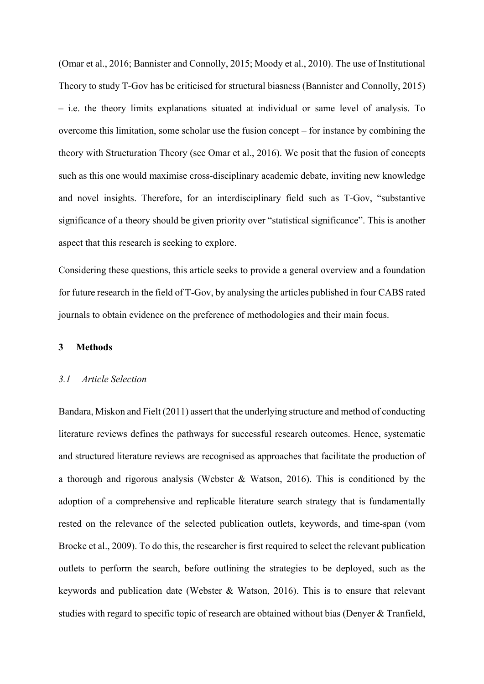(Omar et al., 2016; Bannister and Connolly, 2015; Moody et al., 2010). The use of Institutional Theory to study T-Gov has be criticised for structural biasness (Bannister and Connolly, 2015) – i.e. the theory limits explanations situated at individual or same level of analysis. To overcome this limitation, some scholar use the fusion concept – for instance by combining the theory with Structuration Theory (see Omar et al., 2016). We posit that the fusion of concepts such as this one would maximise cross-disciplinary academic debate, inviting new knowledge and novel insights. Therefore, for an interdisciplinary field such as T-Gov, "substantive significance of a theory should be given priority over "statistical significance". This is another aspect that this research is seeking to explore.

Considering these questions, this article seeks to provide a general overview and a foundation for future research in the field of T-Gov, by analysing the articles published in four CABS rated journals to obtain evidence on the preference of methodologies and their main focus.

## **3 Methods**

## *3.1 Article Selection*

Bandara, Miskon and Fielt (2011) assert that the underlying structure and method of conducting literature reviews defines the pathways for successful research outcomes. Hence, systematic and structured literature reviews are recognised as approaches that facilitate the production of a thorough and rigorous analysis (Webster & Watson, 2016). This is conditioned by the adoption of a comprehensive and replicable literature search strategy that is fundamentally rested on the relevance of the selected publication outlets, keywords, and time-span (vom Brocke et al., 2009). To do this, the researcher is first required to select the relevant publication outlets to perform the search, before outlining the strategies to be deployed, such as the keywords and publication date (Webster & Watson, 2016). This is to ensure that relevant studies with regard to specific topic of research are obtained without bias (Denyer & Tranfield,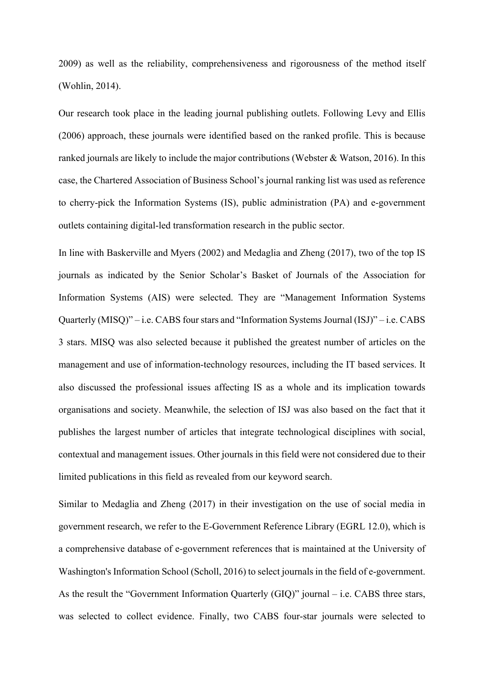2009) as well as the reliability, comprehensiveness and rigorousness of the method itself (Wohlin, 2014).

Our research took place in the leading journal publishing outlets. Following Levy and Ellis (2006) approach, these journals were identified based on the ranked profile. This is because ranked journals are likely to include the major contributions (Webster & Watson, 2016). In this case, the Chartered Association of Business School's journal ranking list was used as reference to cherry-pick the Information Systems (IS), public administration (PA) and e-government outlets containing digital-led transformation research in the public sector.

In line with Baskerville and Myers (2002) and Medaglia and Zheng (2017), two of the top IS journals as indicated by the Senior Scholar's Basket of Journals of the Association for Information Systems (AIS) were selected. They are "Management Information Systems Quarterly (MISQ)" – i.e. CABS four stars and "Information Systems Journal (ISJ)" – i.e. CABS 3 stars. MISQ was also selected because it published the greatest number of articles on the management and use of information-technology resources, including the IT based services. It also discussed the professional issues affecting IS as a whole and its implication towards organisations and society. Meanwhile, the selection of ISJ was also based on the fact that it publishes the largest number of articles that integrate technological disciplines with social, contextual and management issues. Other journals in this field were not considered due to their limited publications in this field as revealed from our keyword search.

Similar to Medaglia and Zheng (2017) in their investigation on the use of social media in government research, we refer to the E-Government Reference Library (EGRL 12.0), which is a comprehensive database of e-government references that is maintained at the University of Washington's Information School (Scholl, 2016) to select journals in the field of e-government. As the result the "Government Information Quarterly (GIQ)" journal – i.e. CABS three stars, was selected to collect evidence. Finally, two CABS four-star journals were selected to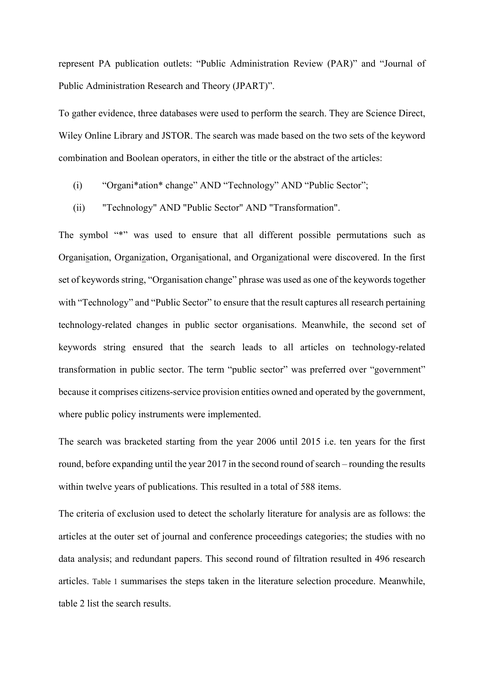represent PA publication outlets: "Public Administration Review (PAR)" and "Journal of Public Administration Research and Theory (JPART)".

To gather evidence, three databases were used to perform the search. They are Science Direct, Wiley Online Library and JSTOR. The search was made based on the two sets of the keyword combination and Boolean operators, in either the title or the abstract of the articles:

- (i) "Organi\*ation\* change" AND "Technology" AND "Public Sector";
- (ii) "Technology" AND "Public Sector" AND "Transformation".

The symbol "\*" was used to ensure that all different possible permutations such as Organisation, Organization, Organisational, and Organizational were discovered. In the first set of keywords string, "Organisation change" phrase was used as one of the keywords together with "Technology" and "Public Sector" to ensure that the result captures all research pertaining technology-related changes in public sector organisations. Meanwhile, the second set of keywords string ensured that the search leads to all articles on technology-related transformation in public sector. The term "public sector" was preferred over "government" because it comprises citizens-service provision entities owned and operated by the government, where public policy instruments were implemented.

The search was bracketed starting from the year 2006 until 2015 i.e. ten years for the first round, before expanding until the year 2017 in the second round of search – rounding the results within twelve years of publications. This resulted in a total of 588 items.

The criteria of exclusion used to detect the scholarly literature for analysis are as follows: the articles at the outer set of journal and conference proceedings categories; the studies with no data analysis; and redundant papers. This second round of filtration resulted in 496 research articles. [Table 1](#page-12-0) summarises the steps taken in the literature selection procedure. Meanwhile, table 2 list the search results.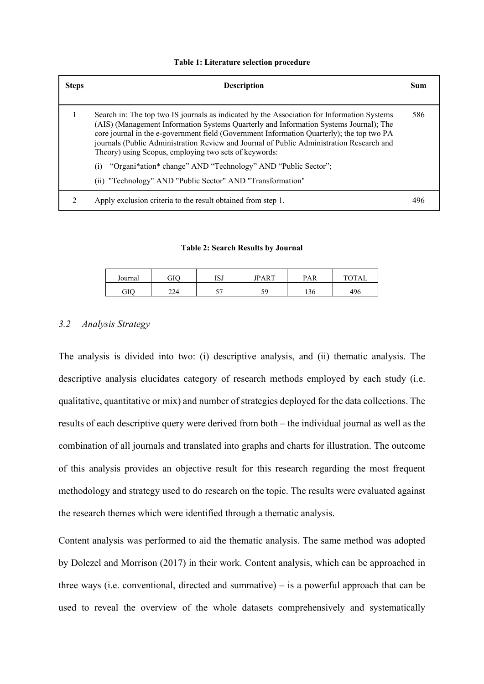#### <span id="page-12-0"></span>**Table 1: Literature selection procedure**

| <b>Steps</b> | <b>Description</b>                                                                                                                                                                                                                                                                                                                                                                                                                    | Sum |
|--------------|---------------------------------------------------------------------------------------------------------------------------------------------------------------------------------------------------------------------------------------------------------------------------------------------------------------------------------------------------------------------------------------------------------------------------------------|-----|
|              | Search in: The top two IS journals as indicated by the Association for Information Systems<br>(AIS) (Management Information Systems Quarterly and Information Systems Journal); The<br>core journal in the e-government field (Government Information Quarterly); the top two PA<br>journals (Public Administration Review and Journal of Public Administration Research and<br>Theory) using Scopus, employing two sets of keywords: | 586 |
|              | "Organi*ation* change" AND "Technology" AND "Public Sector";<br>(1)<br>(ii) "Technology" AND "Public Sector" AND "Transformation"                                                                                                                                                                                                                                                                                                     |     |
|              | Apply exclusion criteria to the result obtained from step 1.                                                                                                                                                                                                                                                                                                                                                                          | 496 |

#### **Table 2: Search Results by Journal**

| Journal | GIC |     | <b>IPART</b> | PAR | <b>TOTA</b> |
|---------|-----|-----|--------------|-----|-------------|
| GIO     | 224 | - - |              | 136 | 496         |

## *3.2 Analysis Strategy*

The analysis is divided into two: (i) descriptive analysis, and (ii) thematic analysis. The descriptive analysis elucidates category of research methods employed by each study (i.e. qualitative, quantitative or mix) and number of strategies deployed for the data collections. The results of each descriptive query were derived from both – the individual journal as well as the combination of all journals and translated into graphs and charts for illustration. The outcome of this analysis provides an objective result for this research regarding the most frequent methodology and strategy used to do research on the topic. The results were evaluated against the research themes which were identified through a thematic analysis.

Content analysis was performed to aid the thematic analysis. The same method was adopted by Dolezel and Morrison (2017) in their work. Content analysis, which can be approached in three ways (i.e. conventional, directed and summative) – is a powerful approach that can be used to reveal the overview of the whole datasets comprehensively and systematically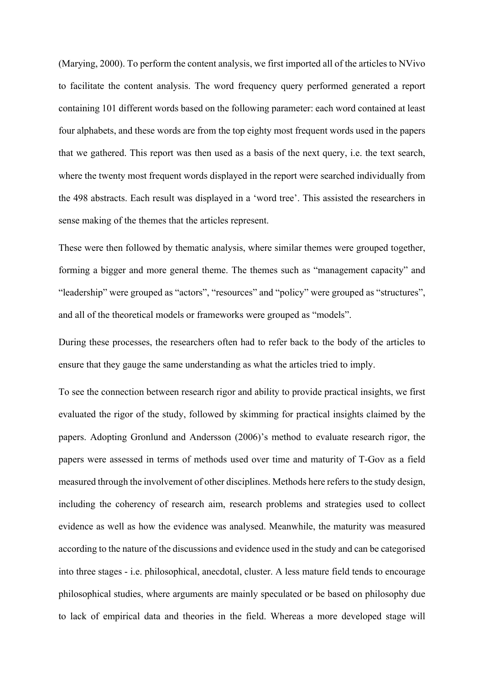(Marying, 2000). To perform the content analysis, we first imported all of the articles to NVivo to facilitate the content analysis. The word frequency query performed generated a report containing 101 different words based on the following parameter: each word contained at least four alphabets, and these words are from the top eighty most frequent words used in the papers that we gathered. This report was then used as a basis of the next query, i.e. the text search, where the twenty most frequent words displayed in the report were searched individually from the 498 abstracts. Each result was displayed in a 'word tree'. This assisted the researchers in sense making of the themes that the articles represent.

These were then followed by thematic analysis, where similar themes were grouped together, forming a bigger and more general theme. The themes such as "management capacity" and "leadership" were grouped as "actors", "resources" and "policy" were grouped as "structures", and all of the theoretical models or frameworks were grouped as "models".

During these processes, the researchers often had to refer back to the body of the articles to ensure that they gauge the same understanding as what the articles tried to imply.

To see the connection between research rigor and ability to provide practical insights, we first evaluated the rigor of the study, followed by skimming for practical insights claimed by the papers. Adopting Gronlund and Andersson (2006)'s method to evaluate research rigor, the papers were assessed in terms of methods used over time and maturity of T-Gov as a field measured through the involvement of other disciplines. Methods here refers to the study design, including the coherency of research aim, research problems and strategies used to collect evidence as well as how the evidence was analysed. Meanwhile, the maturity was measured according to the nature of the discussions and evidence used in the study and can be categorised into three stages - i.e. philosophical, anecdotal, cluster. A less mature field tends to encourage philosophical studies, where arguments are mainly speculated or be based on philosophy due to lack of empirical data and theories in the field. Whereas a more developed stage will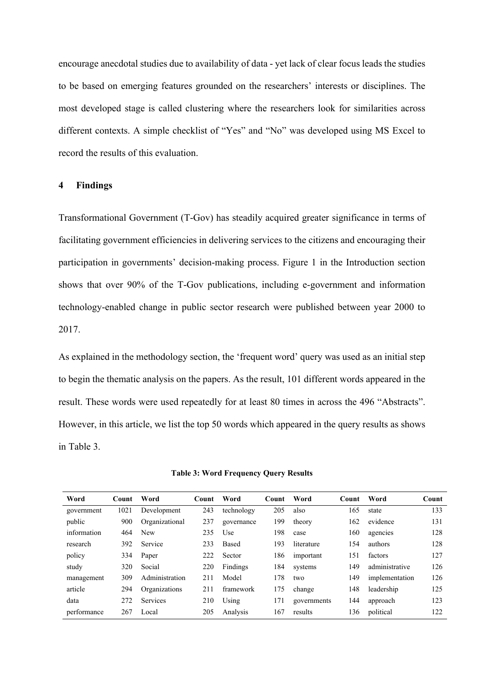encourage anecdotal studies due to availability of data - yet lack of clear focus leads the studies to be based on emerging features grounded on the researchers' interests or disciplines. The most developed stage is called clustering where the researchers look for similarities across different contexts. A simple checklist of "Yes" and "No" was developed using MS Excel to record the results of this evaluation.

## **4 Findings**

Transformational Government (T-Gov) has steadily acquired greater significance in terms of facilitating government efficiencies in delivering services to the citizens and encouraging their participation in governments' decision-making process. Figure 1 in the Introduction section shows that over 90% of the T-Gov publications, including e-government and information technology-enabled change in public sector research were published between year 2000 to 2017.

As explained in the methodology section, the 'frequent word' query was used as an initial step to begin the thematic analysis on the papers. As the result, 101 different words appeared in the result. These words were used repeatedly for at least 80 times in across the 496 "Abstracts". However, in this article, we list the top 50 words which appeared in the query results as shows in Table 3.

| Word        | <b>Count</b> | Word            | Count - | Word       | Count | Word        | <b>Count</b> | Word           | Count |
|-------------|--------------|-----------------|---------|------------|-------|-------------|--------------|----------------|-------|
| government  | 1021         | Development     | 243     | technology | 205   | also        | 165          | state          | 133   |
| public      | 900          | Organizational  | 237     | governance | 199   | theory      | 162          | evidence       | 131   |
| information | 464          | <b>New</b>      | 235     | Use        | 198   | case        | 160          | agencies       | 128   |
| research    | 392          | Service         | 233     | Based      | 193   | literature  | 154          | authors        | 128   |
| policy      | 334          | Paper           | 222     | Sector     | 186   | important   | 151          | factors        | 127   |
| study       | 320          | Social          | 220     | Findings   | 184   | systems     | 149          | administrative | 126   |
| management  | 309          | Administration  | 211     | Model      | 178   | two         | 149          | implementation | 126   |
| article     | 294          | Organizations   | 211     | framework  | 175   | change      | 148          | leadership     | 125   |
| data        | 272          | <b>Services</b> | 210     | Using      | 171   | governments | 144          | approach       | 123   |
| performance | 267          | Local           | 205     | Analysis   | 167   | results     | 136          | political      | 122   |

**Table 3: Word Frequency Query Results**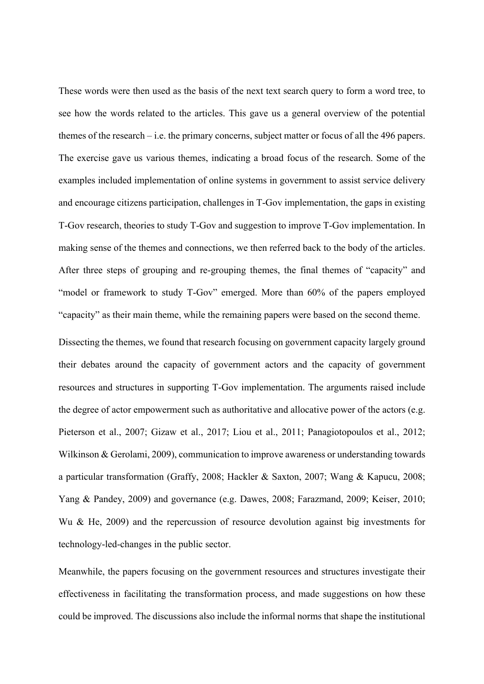These words were then used as the basis of the next text search query to form a word tree, to see how the words related to the articles. This gave us a general overview of the potential themes of the research – i.e. the primary concerns, subject matter or focus of all the 496 papers. The exercise gave us various themes, indicating a broad focus of the research. Some of the examples included implementation of online systems in government to assist service delivery and encourage citizens participation, challenges in T-Gov implementation, the gaps in existing T-Gov research, theories to study T-Gov and suggestion to improve T-Gov implementation. In making sense of the themes and connections, we then referred back to the body of the articles. After three steps of grouping and re-grouping themes, the final themes of "capacity" and "model or framework to study T-Gov" emerged. More than 60% of the papers employed "capacity" as their main theme, while the remaining papers were based on the second theme.

Dissecting the themes, we found that research focusing on government capacity largely ground their debates around the capacity of government actors and the capacity of government resources and structures in supporting T-Gov implementation. The arguments raised include the degree of actor empowerment such as authoritative and allocative power of the actors (e.g. Pieterson et al., 2007; Gizaw et al., 2017; Liou et al., 2011; Panagiotopoulos et al., 2012; Wilkinson & Gerolami, 2009), communication to improve awareness or understanding towards a particular transformation (Graffy, 2008; Hackler & Saxton, 2007; Wang & Kapucu, 2008; Yang & Pandey, 2009) and governance (e.g. Dawes, 2008; Farazmand, 2009; Keiser, 2010; Wu & He, 2009) and the repercussion of resource devolution against big investments for technology-led-changes in the public sector.

Meanwhile, the papers focusing on the government resources and structures investigate their effectiveness in facilitating the transformation process, and made suggestions on how these could be improved. The discussions also include the informal norms that shape the institutional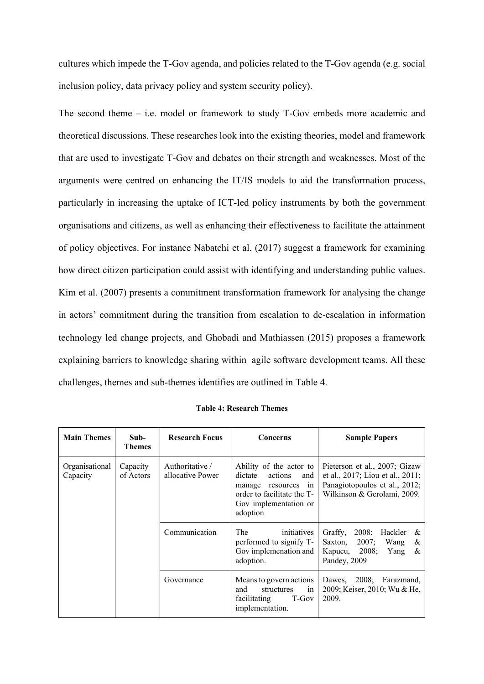cultures which impede the T-Gov agenda, and policies related to the T-Gov agenda (e.g. social inclusion policy, data privacy policy and system security policy).

The second theme – i.e. model or framework to study T-Gov embeds more academic and theoretical discussions. These researches look into the existing theories, model and framework that are used to investigate T-Gov and debates on their strength and weaknesses. Most of the arguments were centred on enhancing the IT/IS models to aid the transformation process, particularly in increasing the uptake of ICT-led policy instruments by both the government organisations and citizens, as well as enhancing their effectiveness to facilitate the attainment of policy objectives. For instance Nabatchi et al. (2017) suggest a framework for examining how direct citizen participation could assist with identifying and understanding public values. Kim et al. (2007) presents a commitment transformation framework for analysing the change in actors' commitment during the transition from escalation to de-escalation in information technology led change projects, and Ghobadi and Mathiassen (2015) proposes a framework explaining barriers to knowledge sharing within agile software development teams. All these challenges, themes and sub-themes identifies are outlined in Table 4.

| <b>Main Themes</b>         | Sub-<br><b>Themes</b> | <b>Research Focus</b>              | Concerns                                                                                                                                          | <b>Sample Papers</b>                                                                                                                    |  |  |
|----------------------------|-----------------------|------------------------------------|---------------------------------------------------------------------------------------------------------------------------------------------------|-----------------------------------------------------------------------------------------------------------------------------------------|--|--|
| Organisational<br>Capacity | Capacity<br>of Actors | Authoritative/<br>allocative Power | Ability of the actor to<br>dictate<br>actions<br>and<br>in<br>manage resources<br>order to facilitate the T-<br>Gov implementation or<br>adoption | Pieterson et al., 2007; Gizaw<br>et al., $2017$ ; Liou et al., $2011$ ;<br>Panagiotopoulos et al., 2012;<br>Wilkinson & Gerolami, 2009. |  |  |
|                            |                       | Communication                      | The<br>initiatives<br>performed to signify T-<br>Gov implemenation and<br>adoption.                                                               | Graffy,<br>2008; Hackler<br>&<br>Saxton, $2007$ ; Wang<br>&<br>Kapucu, 2008;<br>Yang<br>&<br>Pandey, 2009                               |  |  |
|                            |                       | Governance                         | Means to govern actions<br>and<br>structures<br>in<br>facilitating<br>T-Gov<br>implementation.                                                    | Dawes, 2008; Farazmand,<br>2009; Keiser, 2010; Wu & He,<br>2009.                                                                        |  |  |

**Table 4: Research Themes**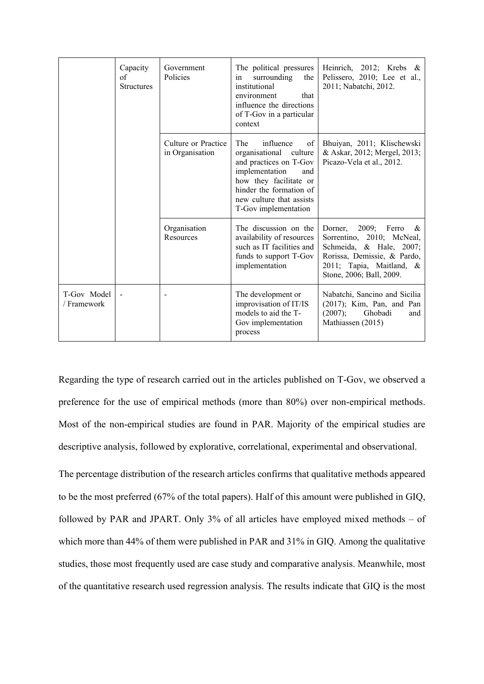|                            | Capacity<br>of<br><b>Structures</b> | Government<br>Policies                 | The political pressures<br>surrounding<br>the<br>in<br>institutional<br>that<br>environment<br>influence the directions<br>of T-Gov in a particular<br>context                                                  | Heinrich, 2012; Krebs $\&$<br>Pelissero, 2010; Lee et al.,<br>2011; Nabatchi, 2012.                                                                                            |
|----------------------------|-------------------------------------|----------------------------------------|-----------------------------------------------------------------------------------------------------------------------------------------------------------------------------------------------------------------|--------------------------------------------------------------------------------------------------------------------------------------------------------------------------------|
|                            |                                     | Culture or Practice<br>in Organisation | influence<br>The<br>of<br>organisational<br>culture<br>and practices on T-Gov<br>implementation<br>and<br>how they facilitate or<br>hinder the formation of<br>new culture that assists<br>T-Gov implementation | Bhuiyan, 2011; Klischewski<br>& Askar, 2012; Mergel, 2013;<br>Picazo-Vela et al., 2012.                                                                                        |
|                            |                                     | Organisation<br>Resources              | The discussion on the<br>availability of resources<br>such as IT facilities and<br>funds to support T-Gov<br>implementation                                                                                     | Dorner, 2009; Ferro<br>$\alpha$<br>Sorrentino, 2010; McNeal,<br>Schmeida, & Hale, 2007;<br>Rorissa, Demissie, & Pardo,<br>2011; Tapia, Maitland, &<br>Stone, 2006; Ball, 2009. |
| T-Gov Model<br>/ Framework |                                     |                                        | The development or<br>improvisation of IT/IS<br>models to aid the T-<br>Gov implementation<br>process                                                                                                           | Nabatchi, Sancino and Sicilia<br>$(2017)$ ; Kim, Pan, and Pan<br>(2007);<br>Ghobadi<br>and<br>Mathiassen (2015)                                                                |

Regarding the type of research carried out in the articles published on T-Gov, we observed a preference for the use of empirical methods (more than 80%) over non-empirical methods. Most of the non-empirical studies are found in PAR. Majority of the empirical studies are descriptive analysis, followed by explorative, correlational, experimental and observational.

The percentage distribution of the research articles confirms that qualitative methods appeared to be the most preferred (67% of the total papers). Half of this amount were published in GIQ, followed by PAR and JPART. Only 3% of all articles have employed mixed methods – of which more than 44% of them were published in PAR and 31% in GIQ. Among the qualitative studies, those most frequently used are case study and comparative analysis. Meanwhile, most of the quantitative research used regression analysis. The results indicate that GIQ is the most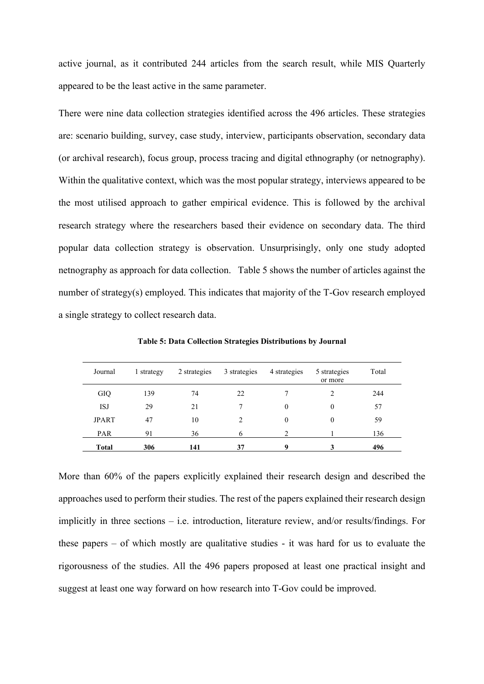active journal, as it contributed 244 articles from the search result, while MIS Quarterly appeared to be the least active in the same parameter.

There were nine data collection strategies identified across the 496 articles. These strategies are: scenario building, survey, case study, interview, participants observation, secondary data (or archival research), focus group, process tracing and digital ethnography (or netnography). Within the qualitative context, which was the most popular strategy, interviews appeared to be the most utilised approach to gather empirical evidence. This is followed by the archival research strategy where the researchers based their evidence on secondary data. The third popular data collection strategy is observation. Unsurprisingly, only one study adopted netnography as approach for data collection. Table 5 shows the number of articles against the number of strategy(s) employed. This indicates that majority of the T-Gov research employed a single strategy to collect research data.

| Journal      | 1 strategy | 2 strategies | 3 strategies   | 4 strategies | 5 strategies<br>or more | Total |
|--------------|------------|--------------|----------------|--------------|-------------------------|-------|
| GIQ          | 139        | 74           | 22             |              | 2                       | 244   |
| <b>ISJ</b>   | 29         | 21           |                | $\mathbf{0}$ | 0                       | 57    |
| <b>JPART</b> | 47         | 10           | $\mathfrak{D}$ | $\theta$     | 0                       | 59    |
| <b>PAR</b>   | 91         | 36           | 6              | 2            |                         | 136   |
| <b>Total</b> | 306        | 141          | 37             | 9            | 3                       | 496   |

**Table 5: Data Collection Strategies Distributions by Journal**

More than 60% of the papers explicitly explained their research design and described the approaches used to perform their studies. The rest of the papers explained their research design implicitly in three sections – i.e. introduction, literature review, and/or results/findings. For these papers – of which mostly are qualitative studies - it was hard for us to evaluate the rigorousness of the studies. All the 496 papers proposed at least one practical insight and suggest at least one way forward on how research into T-Gov could be improved.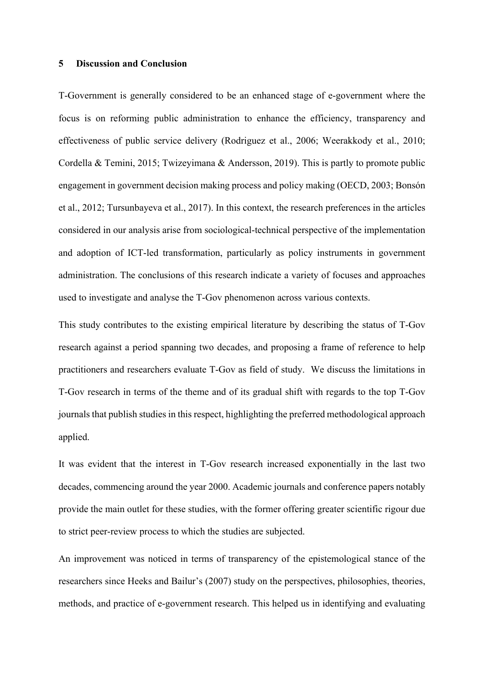### **5 Discussion and Conclusion**

T-Government is generally considered to be an enhanced stage of e-government where the focus is on reforming public administration to enhance the efficiency, transparency and effectiveness of public service delivery (Rodriguez et al., 2006; Weerakkody et al., 2010; Cordella & Temini, 2015; Twizeyimana & Andersson, 2019). This is partly to promote public engagement in government decision making process and policy making (OECD, 2003; Bonsón et al., 2012; Tursunbayeva et al., 2017). In this context, the research preferences in the articles considered in our analysis arise from sociological-technical perspective of the implementation and adoption of ICT-led transformation, particularly as policy instruments in government administration. The conclusions of this research indicate a variety of focuses and approaches used to investigate and analyse the T-Gov phenomenon across various contexts.

This study contributes to the existing empirical literature by describing the status of T-Gov research against a period spanning two decades, and proposing a frame of reference to help practitioners and researchers evaluate T-Gov as field of study. We discuss the limitations in T-Gov research in terms of the theme and of its gradual shift with regards to the top T-Gov journals that publish studies in this respect, highlighting the preferred methodological approach applied.

It was evident that the interest in T-Gov research increased exponentially in the last two decades, commencing around the year 2000. Academic journals and conference papers notably provide the main outlet for these studies, with the former offering greater scientific rigour due to strict peer-review process to which the studies are subjected.

An improvement was noticed in terms of transparency of the epistemological stance of the researchers since Heeks and Bailur's (2007) study on the perspectives, philosophies, theories, methods, and practice of e-government research. This helped us in identifying and evaluating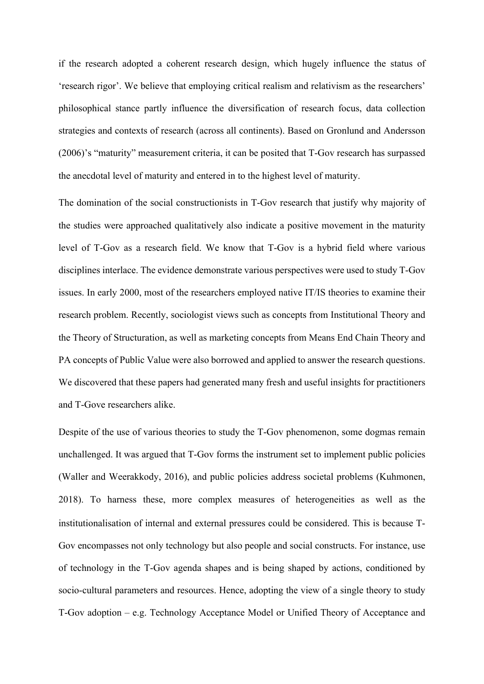if the research adopted a coherent research design, which hugely influence the status of 'research rigor'. We believe that employing critical realism and relativism as the researchers' philosophical stance partly influence the diversification of research focus, data collection strategies and contexts of research (across all continents). Based on Gronlund and Andersson (2006)'s "maturity" measurement criteria, it can be posited that T-Gov research has surpassed the anecdotal level of maturity and entered in to the highest level of maturity.

The domination of the social constructionists in T-Gov research that justify why majority of the studies were approached qualitatively also indicate a positive movement in the maturity level of T-Gov as a research field. We know that T-Gov is a hybrid field where various disciplines interlace. The evidence demonstrate various perspectives were used to study T-Gov issues. In early 2000, most of the researchers employed native IT/IS theories to examine their research problem. Recently, sociologist views such as concepts from Institutional Theory and the Theory of Structuration, as well as marketing concepts from Means End Chain Theory and PA concepts of Public Value were also borrowed and applied to answer the research questions. We discovered that these papers had generated many fresh and useful insights for practitioners and T-Gove researchers alike.

Despite of the use of various theories to study the T-Gov phenomenon, some dogmas remain unchallenged. It was argued that T-Gov forms the instrument set to implement public policies (Waller and Weerakkody, 2016), and public policies address societal problems (Kuhmonen, 2018). To harness these, more complex measures of heterogeneities as well as the institutionalisation of internal and external pressures could be considered. This is because T-Gov encompasses not only technology but also people and social constructs. For instance, use of technology in the T-Gov agenda shapes and is being shaped by actions, conditioned by socio-cultural parameters and resources. Hence, adopting the view of a single theory to study T-Gov adoption – e.g. Technology Acceptance Model or Unified Theory of Acceptance and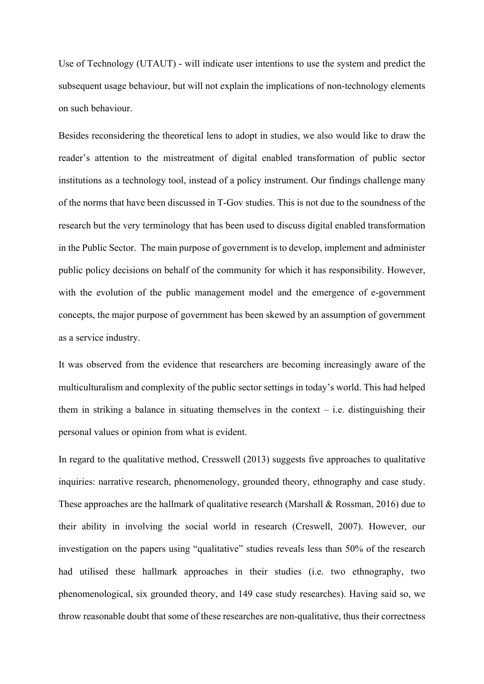Use of Technology (UTAUT) - will indicate user intentions to use the system and predict the subsequent usage behaviour, but will not explain the implications of non-technology elements on such behaviour.

Besides reconsidering the theoretical lens to adopt in studies, we also would like to draw the reader's attention to the mistreatment of digital enabled transformation of public sector institutions as a technology tool, instead of a policy instrument. Our findings challenge many of the norms that have been discussed in T-Gov studies. This is not due to the soundness of the research but the very terminology that has been used to discuss digital enabled transformation in the Public Sector. The main purpose of government is to develop, implement and administer public policy decisions on behalf of the community for which it has responsibility. However, with the evolution of the public management model and the emergence of e-government concepts, the major purpose of government has been skewed by an assumption of government as a service industry.

It was observed from the evidence that researchers are becoming increasingly aware of the multiculturalism and complexity of the public sector settings in today's world. This had helped them in striking a balance in situating themselves in the context  $-$  i.e. distinguishing their personal values or opinion from what is evident.

In regard to the qualitative method, Cresswell (2013) suggests five approaches to qualitative inquiries: narrative research, phenomenology, grounded theory, ethnography and case study. These approaches are the hallmark of qualitative research (Marshall & Rossman, 2016) due to their ability in involving the social world in research (Creswell, 2007). However, our investigation on the papers using "qualitative" studies reveals less than 50% of the research had utilised these hallmark approaches in their studies (i.e. two ethnography, two phenomenological, six grounded theory, and 149 case study researches). Having said so, we throw reasonable doubt that some of these researches are non-qualitative, thus their correctness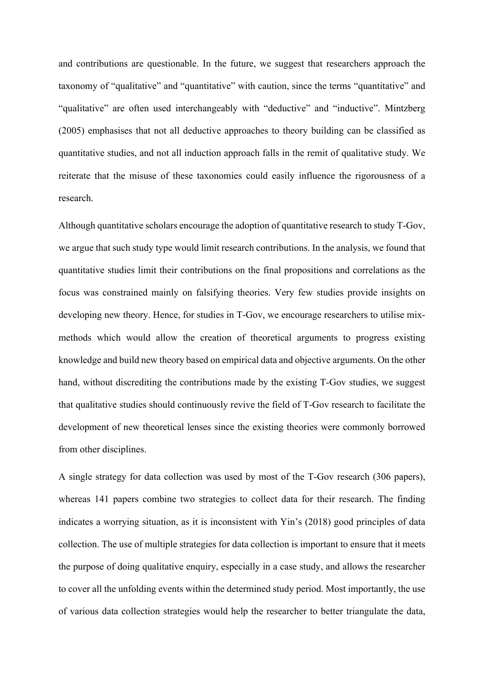and contributions are questionable. In the future, we suggest that researchers approach the taxonomy of "qualitative" and "quantitative" with caution, since the terms "quantitative" and "qualitative" are often used interchangeably with "deductive" and "inductive". Mintzberg (2005) emphasises that not all deductive approaches to theory building can be classified as quantitative studies, and not all induction approach falls in the remit of qualitative study. We reiterate that the misuse of these taxonomies could easily influence the rigorousness of a research.

Although quantitative scholars encourage the adoption of quantitative research to study T-Gov, we argue that such study type would limit research contributions. In the analysis, we found that quantitative studies limit their contributions on the final propositions and correlations as the focus was constrained mainly on falsifying theories. Very few studies provide insights on developing new theory. Hence, for studies in T-Gov, we encourage researchers to utilise mixmethods which would allow the creation of theoretical arguments to progress existing knowledge and build new theory based on empirical data and objective arguments. On the other hand, without discrediting the contributions made by the existing T-Gov studies, we suggest that qualitative studies should continuously revive the field of T-Gov research to facilitate the development of new theoretical lenses since the existing theories were commonly borrowed from other disciplines.

A single strategy for data collection was used by most of the T-Gov research (306 papers), whereas 141 papers combine two strategies to collect data for their research. The finding indicates a worrying situation, as it is inconsistent with Yin's (2018) good principles of data collection. The use of multiple strategies for data collection is important to ensure that it meets the purpose of doing qualitative enquiry, especially in a case study, and allows the researcher to cover all the unfolding events within the determined study period. Most importantly, the use of various data collection strategies would help the researcher to better triangulate the data,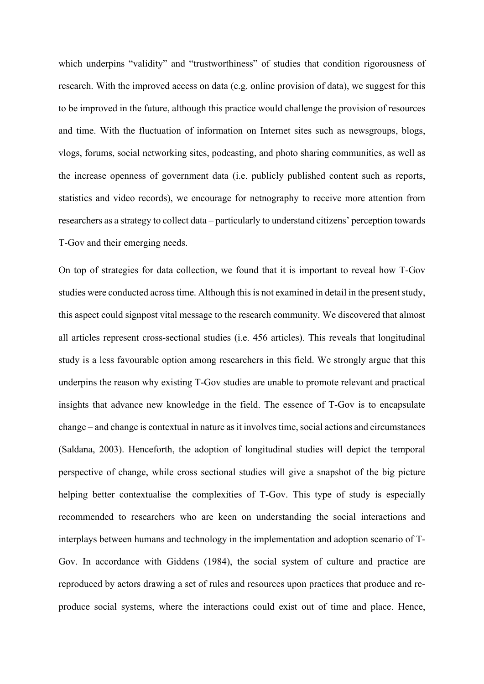which underpins "validity" and "trustworthiness" of studies that condition rigorousness of research. With the improved access on data (e.g. online provision of data), we suggest for this to be improved in the future, although this practice would challenge the provision of resources and time. With the fluctuation of information on Internet sites such as newsgroups, blogs, vlogs, forums, social networking sites, podcasting, and photo sharing communities, as well as the increase openness of government data (i.e. publicly published content such as reports, statistics and video records), we encourage for netnography to receive more attention from researchers as a strategy to collect data – particularly to understand citizens' perception towards T-Gov and their emerging needs.

On top of strategies for data collection, we found that it is important to reveal how T-Gov studies were conducted across time. Although this is not examined in detail in the present study, this aspect could signpost vital message to the research community. We discovered that almost all articles represent cross-sectional studies (i.e. 456 articles). This reveals that longitudinal study is a less favourable option among researchers in this field. We strongly argue that this underpins the reason why existing T-Gov studies are unable to promote relevant and practical insights that advance new knowledge in the field. The essence of T-Gov is to encapsulate change – and change is contextual in nature as it involves time, social actions and circumstances (Saldana, 2003). Henceforth, the adoption of longitudinal studies will depict the temporal perspective of change, while cross sectional studies will give a snapshot of the big picture helping better contextualise the complexities of T-Gov. This type of study is especially recommended to researchers who are keen on understanding the social interactions and interplays between humans and technology in the implementation and adoption scenario of T-Gov. In accordance with Giddens (1984), the social system of culture and practice are reproduced by actors drawing a set of rules and resources upon practices that produce and reproduce social systems, where the interactions could exist out of time and place. Hence,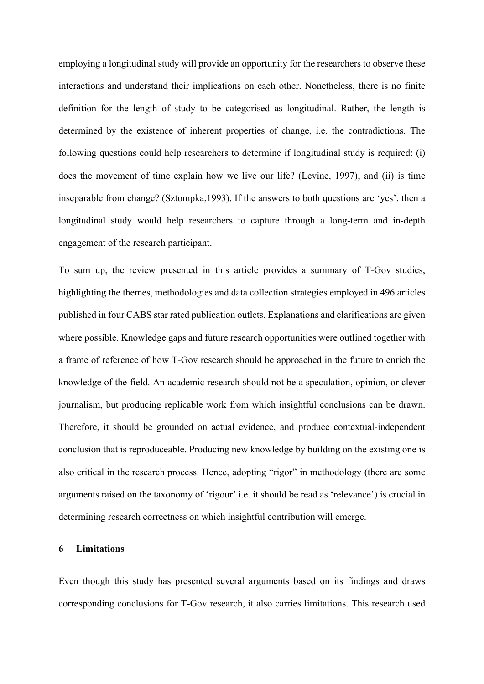employing a longitudinal study will provide an opportunity for the researchers to observe these interactions and understand their implications on each other. Nonetheless, there is no finite definition for the length of study to be categorised as longitudinal. Rather, the length is determined by the existence of inherent properties of change, i.e. the contradictions. The following questions could help researchers to determine if longitudinal study is required: (i) does the movement of time explain how we live our life? (Levine, 1997); and (ii) is time inseparable from change? (Sztompka,1993). If the answers to both questions are 'yes', then a longitudinal study would help researchers to capture through a long-term and in-depth engagement of the research participant.

To sum up, the review presented in this article provides a summary of T-Gov studies, highlighting the themes, methodologies and data collection strategies employed in 496 articles published in four CABS star rated publication outlets. Explanations and clarifications are given where possible. Knowledge gaps and future research opportunities were outlined together with a frame of reference of how T-Gov research should be approached in the future to enrich the knowledge of the field. An academic research should not be a speculation, opinion, or clever journalism, but producing replicable work from which insightful conclusions can be drawn. Therefore, it should be grounded on actual evidence, and produce contextual-independent conclusion that is reproduceable. Producing new knowledge by building on the existing one is also critical in the research process. Hence, adopting "rigor" in methodology (there are some arguments raised on the taxonomy of 'rigour' i.e. it should be read as 'relevance') is crucial in determining research correctness on which insightful contribution will emerge.

## **6 Limitations**

Even though this study has presented several arguments based on its findings and draws corresponding conclusions for T-Gov research, it also carries limitations. This research used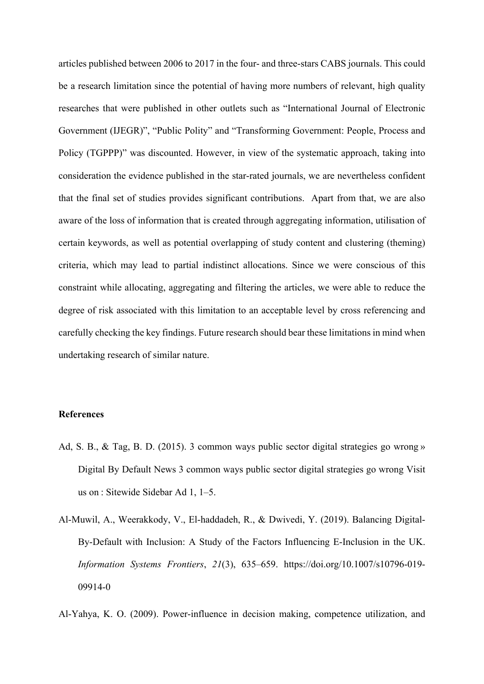articles published between 2006 to 2017 in the four- and three-stars CABS journals. This could be a research limitation since the potential of having more numbers of relevant, high quality researches that were published in other outlets such as "International Journal of Electronic Government (IJEGR)", "Public Polity" and "Transforming Government: People, Process and Policy (TGPPP)" was discounted. However, in view of the systematic approach, taking into consideration the evidence published in the star-rated journals, we are nevertheless confident that the final set of studies provides significant contributions. Apart from that, we are also aware of the loss of information that is created through aggregating information, utilisation of certain keywords, as well as potential overlapping of study content and clustering (theming) criteria, which may lead to partial indistinct allocations. Since we were conscious of this constraint while allocating, aggregating and filtering the articles, we were able to reduce the degree of risk associated with this limitation to an acceptable level by cross referencing and carefully checking the key findings. Future research should bear these limitations in mind when undertaking research of similar nature.

## **References**

- Ad, S. B., & Tag, B. D. (2015). 3 common ways public sector digital strategies go wrong » Digital By Default News 3 common ways public sector digital strategies go wrong Visit us on : Sitewide Sidebar Ad 1, 1–5.
- Al-Muwil, A., Weerakkody, V., El-haddadeh, R., & Dwivedi, Y. (2019). Balancing Digital-By-Default with Inclusion: A Study of the Factors Influencing E-Inclusion in the UK. *Information Systems Frontiers*, *21*(3), 635–659. https://doi.org/10.1007/s10796-019- 09914-0

Al-Yahya, K. O. (2009). Power-influence in decision making, competence utilization, and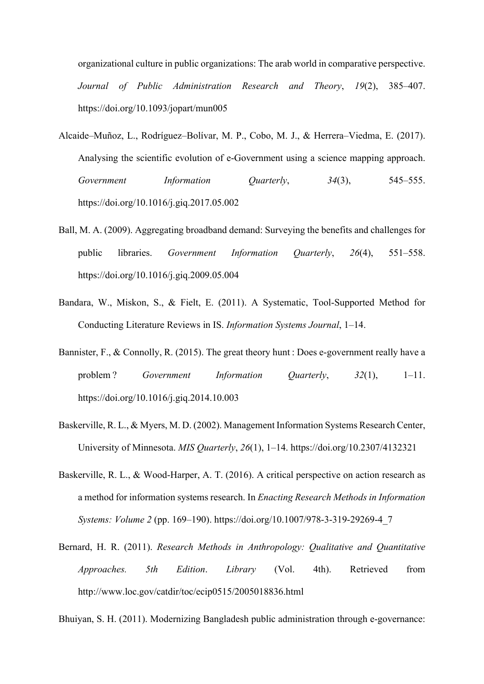organizational culture in public organizations: The arab world in comparative perspective. *Journal of Public Administration Research and Theory*, *19*(2), 385–407. https://doi.org/10.1093/jopart/mun005

- Alcaide–Muñoz, L., Rodríguez–Bolívar, M. P., Cobo, M. J., & Herrera–Viedma, E. (2017). Analysing the scientific evolution of e-Government using a science mapping approach. *Government Information Quarterly*, *34*(3), 545–555. https://doi.org/10.1016/j.giq.2017.05.002
- Ball, M. A. (2009). Aggregating broadband demand: Surveying the benefits and challenges for public libraries. *Government Information Quarterly*, *26*(4), 551–558. https://doi.org/10.1016/j.giq.2009.05.004
- Bandara, W., Miskon, S., & Fielt, E. (2011). A Systematic, Tool-Supported Method for Conducting Literature Reviews in IS. *Information Systems Journal*, 1–14.
- Bannister, F., & Connolly, R. (2015). The great theory hunt : Does e-government really have a problem ? *Government Information Quarterly*, *32*(1), 1–11. https://doi.org/10.1016/j.giq.2014.10.003
- Baskerville, R. L., & Myers, M. D. (2002). Management Information Systems Research Center, University of Minnesota. *MIS Quarterly*, *26*(1), 1–14. https://doi.org/10.2307/4132321
- Baskerville, R. L., & Wood-Harper, A. T. (2016). A critical perspective on action research as a method for information systems research. In *Enacting Research Methods in Information Systems: Volume 2* (pp. 169–190). https://doi.org/10.1007/978-3-319-29269-4\_7
- Bernard, H. R. (2011). *Research Methods in Anthropology: Qualitative and Quantitative Approaches. 5th Edition*. *Library* (Vol. 4th). Retrieved from http://www.loc.gov/catdir/toc/ecip0515/2005018836.html

Bhuiyan, S. H. (2011). Modernizing Bangladesh public administration through e-governance: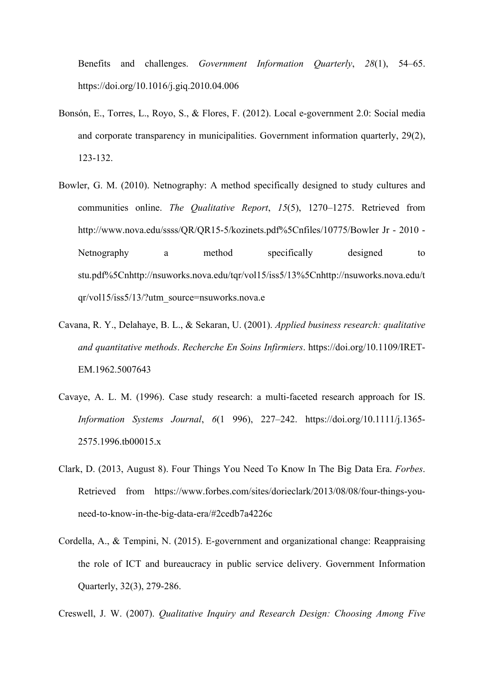Benefits and challenges. *Government Information Quarterly*, *28*(1), 54–65. https://doi.org/10.1016/j.giq.2010.04.006

- Bonsón, E., Torres, L., Royo, S., & Flores, F. (2012). Local e-government 2.0: Social media and corporate transparency in municipalities. Government information quarterly, 29(2), 123-132.
- Bowler, G. M. (2010). Netnography: A method specifically designed to study cultures and communities online. *The Qualitative Report*, *15*(5), 1270–1275. Retrieved from http://www.nova.edu/ssss/QR/QR15-5/kozinets.pdf%5Cnfiles/10775/Bowler Jr - 2010 - Netnography a method specifically designed to stu.pdf%5Cnhttp://nsuworks.nova.edu/tqr/vol15/iss5/13%5Cnhttp://nsuworks.nova.edu/t qr/vol15/iss5/13/?utm\_source=nsuworks.nova.e
- Cavana, R. Y., Delahaye, B. L., & Sekaran, U. (2001). *Applied business research: qualitative and quantitative methods*. *Recherche En Soins Infirmiers*. https://doi.org/10.1109/IRET-EM.1962.5007643
- Cavaye, A. L. M. (1996). Case study research: a multi-faceted research approach for IS. *Information Systems Journal*, *6*(1 996), 227–242. https://doi.org/10.1111/j.1365- 2575.1996.tb00015.x
- Clark, D. (2013, August 8). Four Things You Need To Know In The Big Data Era. *Forbes*. Retrieved from https://www.forbes.com/sites/dorieclark/2013/08/08/four-things-youneed-to-know-in-the-big-data-era/#2cedb7a4226c
- Cordella, A., & Tempini, N. (2015). E-government and organizational change: Reappraising the role of ICT and bureaucracy in public service delivery. Government Information Quarterly, 32(3), 279-286.

Creswell, J. W. (2007). *Qualitative Inquiry and Research Design: Choosing Among Five*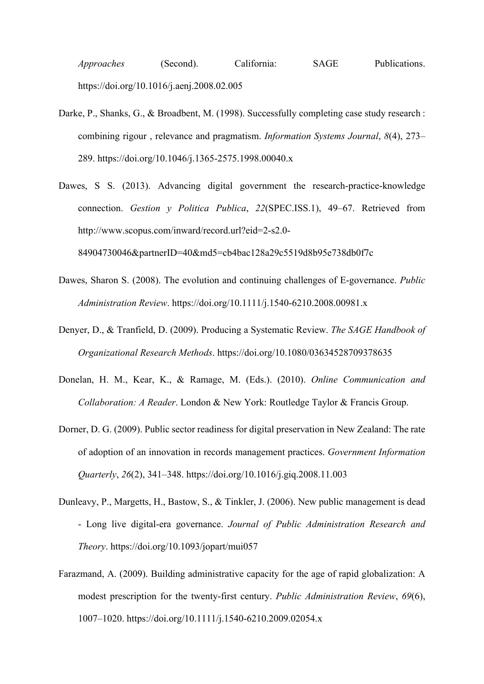*Approaches* (Second). California: SAGE Publications. https://doi.org/10.1016/j.aenj.2008.02.005

- Darke, P., Shanks, G., & Broadbent, M. (1998). Successfully completing case study research : combining rigour , relevance and pragmatism. *Information Systems Journal*, *8*(4), 273– 289. https://doi.org/10.1046/j.1365-2575.1998.00040.x
- Dawes, S S. (2013). Advancing digital government the research-practice-knowledge connection. *Gestion y Politica Publica*, *22*(SPEC.ISS.1), 49–67. Retrieved from http://www.scopus.com/inward/record.url?eid=2-s2.0- 84904730046&partnerID=40&md5=cb4bac128a29c5519d8b95e738db0f7c
- Dawes, Sharon S. (2008). The evolution and continuing challenges of E-governance. *Public Administration Review*. https://doi.org/10.1111/j.1540-6210.2008.00981.x
- Denyer, D., & Tranfield, D. (2009). Producing a Systematic Review. *The SAGE Handbook of Organizational Research Methods*. https://doi.org/10.1080/03634528709378635
- Donelan, H. M., Kear, K., & Ramage, M. (Eds.). (2010). *Online Communication and Collaboration: A Reader*. London & New York: Routledge Taylor & Francis Group.
- Dorner, D. G. (2009). Public sector readiness for digital preservation in New Zealand: The rate of adoption of an innovation in records management practices. *Government Information Quarterly*, *26*(2), 341–348. https://doi.org/10.1016/j.giq.2008.11.003
- Dunleavy, P., Margetts, H., Bastow, S., & Tinkler, J. (2006). New public management is dead - Long live digital-era governance. *Journal of Public Administration Research and Theory*. https://doi.org/10.1093/jopart/mui057
- Farazmand, A. (2009). Building administrative capacity for the age of rapid globalization: A modest prescription for the twenty-first century. *Public Administration Review*, *69*(6), 1007–1020. https://doi.org/10.1111/j.1540-6210.2009.02054.x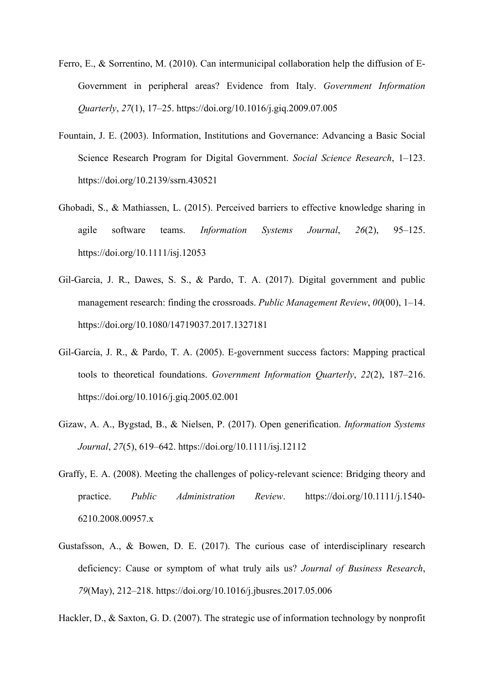- Ferro, E., & Sorrentino, M. (2010). Can intermunicipal collaboration help the diffusion of E-Government in peripheral areas? Evidence from Italy. *Government Information Quarterly*, *27*(1), 17–25. https://doi.org/10.1016/j.giq.2009.07.005
- Fountain, J. E. (2003). Information, Institutions and Governance: Advancing a Basic Social Science Research Program for Digital Government. *Social Science Research*, 1–123. https://doi.org/10.2139/ssrn.430521
- Ghobadi, S., & Mathiassen, L. (2015). Perceived barriers to effective knowledge sharing in agile software teams. *Information Systems Journal*, *26*(2), 95–125. https://doi.org/10.1111/isj.12053
- Gil-Garcia, J. R., Dawes, S. S., & Pardo, T. A. (2017). Digital government and public management research: finding the crossroads. *Public Management Review*, *00*(00), 1–14. https://doi.org/10.1080/14719037.2017.1327181
- Gil-García, J. R., & Pardo, T. A. (2005). E-government success factors: Mapping practical tools to theoretical foundations. *Government Information Quarterly*, *22*(2), 187–216. https://doi.org/10.1016/j.giq.2005.02.001
- Gizaw, A. A., Bygstad, B., & Nielsen, P. (2017). Open generification. *Information Systems Journal*, *27*(5), 619–642. https://doi.org/10.1111/isj.12112
- Graffy, E. A. (2008). Meeting the challenges of policy-relevant science: Bridging theory and practice. *Public Administration Review*. https://doi.org/10.1111/j.1540- 6210.2008.00957.x
- Gustafsson, A., & Bowen, D. E. (2017). The curious case of interdisciplinary research deficiency: Cause or symptom of what truly ails us? *Journal of Business Research*, *79*(May), 212–218. https://doi.org/10.1016/j.jbusres.2017.05.006

Hackler, D., & Saxton, G. D. (2007). The strategic use of information technology by nonprofit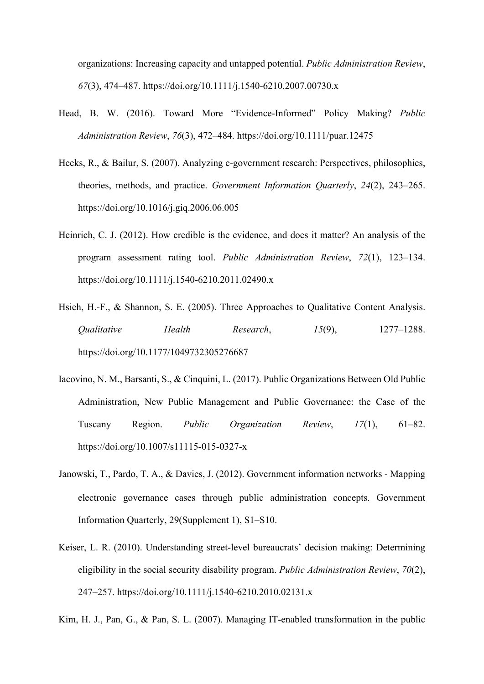organizations: Increasing capacity and untapped potential. *Public Administration Review*, *67*(3), 474–487. https://doi.org/10.1111/j.1540-6210.2007.00730.x

- Head, B. W. (2016). Toward More "Evidence-Informed" Policy Making? *Public Administration Review*, *76*(3), 472–484. https://doi.org/10.1111/puar.12475
- Heeks, R., & Bailur, S. (2007). Analyzing e-government research: Perspectives, philosophies, theories, methods, and practice. *Government Information Quarterly*, *24*(2), 243–265. https://doi.org/10.1016/j.giq.2006.06.005
- Heinrich, C. J. (2012). How credible is the evidence, and does it matter? An analysis of the program assessment rating tool. *Public Administration Review*, *72*(1), 123–134. https://doi.org/10.1111/j.1540-6210.2011.02490.x
- Hsieh, H.-F., & Shannon, S. E. (2005). Three Approaches to Qualitative Content Analysis. *Qualitative Health Research*, *15*(9), 1277–1288. https://doi.org/10.1177/1049732305276687
- Iacovino, N. M., Barsanti, S., & Cinquini, L. (2017). Public Organizations Between Old Public Administration, New Public Management and Public Governance: the Case of the Tuscany Region. *Public Organization Review*, *17*(1), 61–82. https://doi.org/10.1007/s11115-015-0327-x
- Janowski, T., Pardo, T. A., & Davies, J. (2012). Government information networks Mapping electronic governance cases through public administration concepts. Government Information Quarterly, 29(Supplement 1), S1–S10.
- Keiser, L. R. (2010). Understanding street-level bureaucrats' decision making: Determining eligibility in the social security disability program. *Public Administration Review*, *70*(2), 247–257. https://doi.org/10.1111/j.1540-6210.2010.02131.x

Kim, H. J., Pan, G., & Pan, S. L. (2007). Managing IT-enabled transformation in the public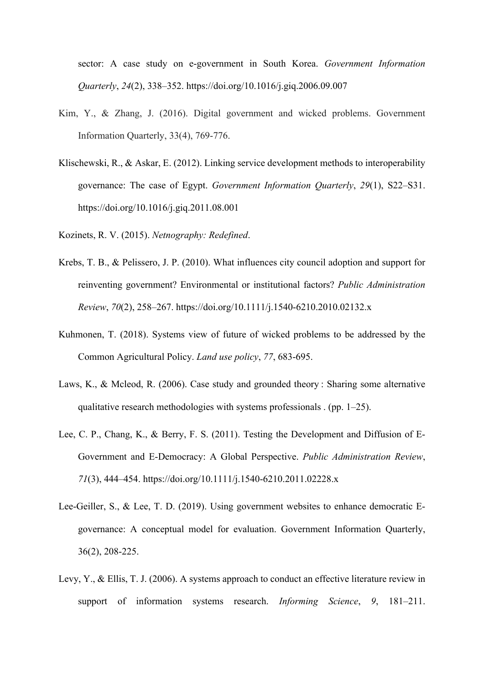sector: A case study on e-government in South Korea. *Government Information Quarterly*, *24*(2), 338–352. https://doi.org/10.1016/j.giq.2006.09.007

- Kim, Y., & Zhang, J. (2016). Digital government and wicked problems. Government Information Quarterly, 33(4), 769-776.
- Klischewski, R., & Askar, E. (2012). Linking service development methods to interoperability governance: The case of Egypt. *Government Information Quarterly*, *29*(1), S22–S31. https://doi.org/10.1016/j.giq.2011.08.001
- Kozinets, R. V. (2015). *Netnography: Redefined*.
- Krebs, T. B., & Pelissero, J. P. (2010). What influences city council adoption and support for reinventing government? Environmental or institutional factors? *Public Administration Review*, *70*(2), 258–267. https://doi.org/10.1111/j.1540-6210.2010.02132.x
- Kuhmonen, T. (2018). Systems view of future of wicked problems to be addressed by the Common Agricultural Policy. *Land use policy*, *77*, 683-695.
- Laws, K., & Mcleod, R. (2006). Case study and grounded theory : Sharing some alternative qualitative research methodologies with systems professionals . (pp. 1–25).
- Lee, C. P., Chang, K., & Berry, F. S. (2011). Testing the Development and Diffusion of E-Government and E-Democracy: A Global Perspective. *Public Administration Review*, *71*(3), 444–454. https://doi.org/10.1111/j.1540-6210.2011.02228.x
- Lee-Geiller, S., & Lee, T. D. (2019). Using government websites to enhance democratic Egovernance: A conceptual model for evaluation. Government Information Quarterly, 36(2), 208-225.
- Levy, Y., & Ellis, T. J. (2006). A systems approach to conduct an effective literature review in support of information systems research. *Informing Science*, *9*, 181–211.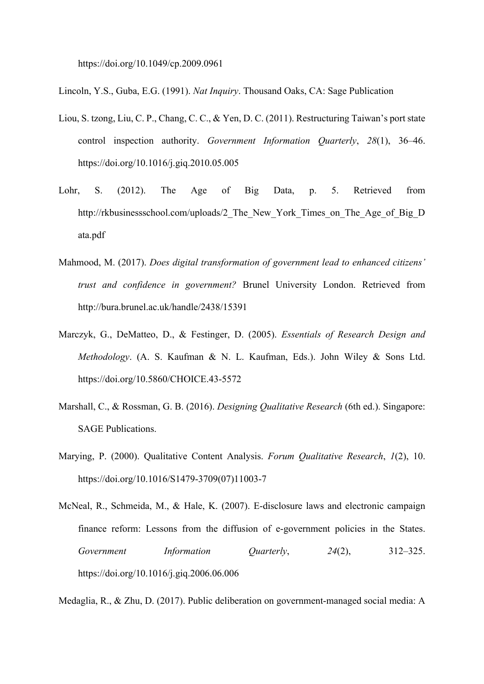https://doi.org/10.1049/cp.2009.0961

Lincoln, Y.S., Guba, E.G. (1991). *Nat Inquiry*. Thousand Oaks, CA: Sage Publication

- Liou, S. tzong, Liu, C. P., Chang, C. C., & Yen, D. C. (2011). Restructuring Taiwan's port state control inspection authority. *Government Information Quarterly*, *28*(1), 36–46. https://doi.org/10.1016/j.giq.2010.05.005
- Lohr, S. (2012). The Age of Big Data, p. 5. Retrieved from http://rkbusinessschool.com/uploads/2 The New York Times on The Age of Big D ata.pdf
- Mahmood, M. (2017). *Does digital transformation of government lead to enhanced citizens' trust and confidence in government?* Brunel University London. Retrieved from http://bura.brunel.ac.uk/handle/2438/15391
- Marczyk, G., DeMatteo, D., & Festinger, D. (2005). *Essentials of Research Design and Methodology*. (A. S. Kaufman & N. L. Kaufman, Eds.). John Wiley & Sons Ltd. https://doi.org/10.5860/CHOICE.43-5572
- Marshall, C., & Rossman, G. B. (2016). *Designing Qualitative Research* (6th ed.). Singapore: SAGE Publications.
- Marying, P. (2000). Qualitative Content Analysis. *Forum Qualitative Research*, *1*(2), 10. https://doi.org/10.1016/S1479-3709(07)11003-7
- McNeal, R., Schmeida, M., & Hale, K. (2007). E-disclosure laws and electronic campaign finance reform: Lessons from the diffusion of e-government policies in the States. *Government Information Quarterly*, *24*(2), 312–325. https://doi.org/10.1016/j.giq.2006.06.006

Medaglia, R., & Zhu, D. (2017). Public deliberation on government-managed social media: A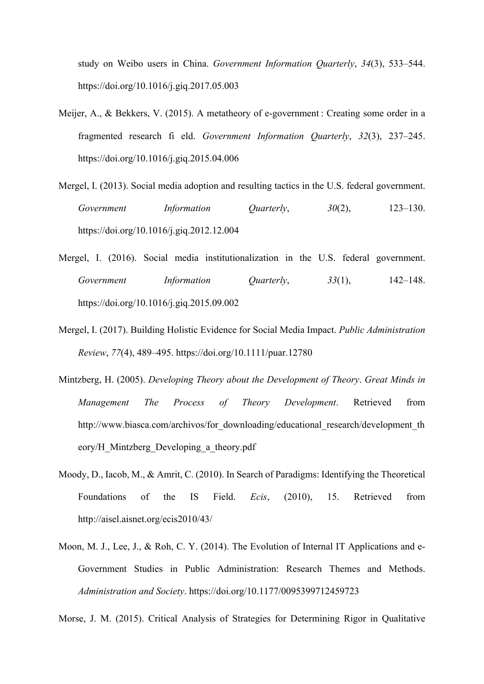study on Weibo users in China. *Government Information Quarterly*, *34*(3), 533–544. https://doi.org/10.1016/j.giq.2017.05.003

- Meijer, A., & Bekkers, V. (2015). A metatheory of e-government : Creating some order in a fragmented research fi eld. *Government Information Quarterly*, *32*(3), 237–245. https://doi.org/10.1016/j.giq.2015.04.006
- Mergel, I. (2013). Social media adoption and resulting tactics in the U.S. federal government. *Government Information Quarterly*, *30*(2), 123–130. https://doi.org/10.1016/j.giq.2012.12.004
- Mergel, I. (2016). Social media institutionalization in the U.S. federal government. *Government Information Quarterly*, *33*(1), 142–148. https://doi.org/10.1016/j.giq.2015.09.002
- Mergel, I. (2017). Building Holistic Evidence for Social Media Impact. *Public Administration Review*, *77*(4), 489–495. https://doi.org/10.1111/puar.12780
- Mintzberg, H. (2005). *Developing Theory about the Development of Theory*. *Great Minds in Management The Process of Theory Development*. Retrieved from http://www.biasca.com/archivos/for\_downloading/educational\_research/development\_th eory/H\_Mintzberg\_Developing\_a\_theory.pdf
- Moody, D., Iacob, M., & Amrit, C. (2010). In Search of Paradigms: Identifying the Theoretical Foundations of the IS Field. *Ecis*, (2010), 15. Retrieved from http://aisel.aisnet.org/ecis2010/43/
- Moon, M. J., Lee, J., & Roh, C. Y. (2014). The Evolution of Internal IT Applications and e-Government Studies in Public Administration: Research Themes and Methods. *Administration and Society*. https://doi.org/10.1177/0095399712459723

Morse, J. M. (2015). Critical Analysis of Strategies for Determining Rigor in Qualitative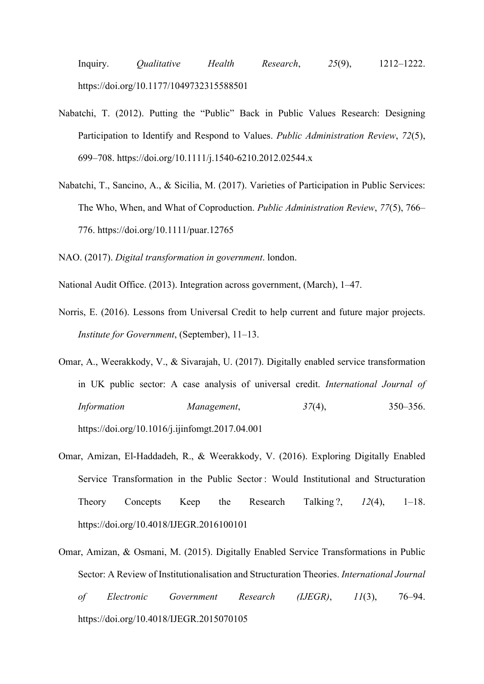Inquiry. *Qualitative Health Research*, *25*(9), 1212–1222. https://doi.org/10.1177/1049732315588501

- Nabatchi, T. (2012). Putting the "Public" Back in Public Values Research: Designing Participation to Identify and Respond to Values. *Public Administration Review*, *72*(5), 699–708. https://doi.org/10.1111/j.1540-6210.2012.02544.x
- Nabatchi, T., Sancino, A., & Sicilia, M. (2017). Varieties of Participation in Public Services: The Who, When, and What of Coproduction. *Public Administration Review*, *77*(5), 766– 776. https://doi.org/10.1111/puar.12765

NAO. (2017). *Digital transformation in government*. london.

- National Audit Office. (2013). Integration across government, (March), 1–47.
- Norris, E. (2016). Lessons from Universal Credit to help current and future major projects. *Institute for Government*, (September), 11–13.
- Omar, A., Weerakkody, V., & Sivarajah, U. (2017). Digitally enabled service transformation in UK public sector: A case analysis of universal credit. *International Journal of Information Management*, *37*(4), 350–356. https://doi.org/10.1016/j.ijinfomgt.2017.04.001
- Omar, Amizan, El-Haddadeh, R., & Weerakkody, V. (2016). Exploring Digitally Enabled Service Transformation in the Public Sector : Would Institutional and Structuration Theory Concepts Keep the Research Talking ?, *12*(4), 1–18. https://doi.org/10.4018/IJEGR.2016100101
- Omar, Amizan, & Osmani, M. (2015). Digitally Enabled Service Transformations in Public Sector: A Review of Institutionalisation and Structuration Theories. *International Journal of Electronic Government Research (IJEGR)*, *11*(3), 76–94. https://doi.org/10.4018/IJEGR.2015070105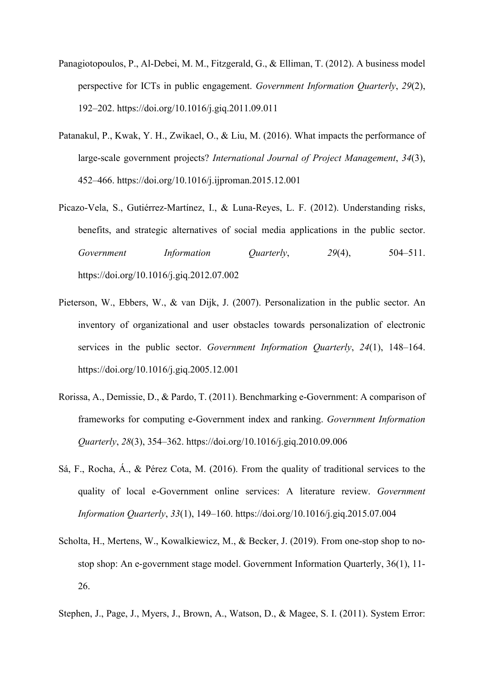- Panagiotopoulos, P., Al-Debei, M. M., Fitzgerald, G., & Elliman, T. (2012). A business model perspective for ICTs in public engagement. *Government Information Quarterly*, *29*(2), 192–202. https://doi.org/10.1016/j.giq.2011.09.011
- Patanakul, P., Kwak, Y. H., Zwikael, O., & Liu, M. (2016). What impacts the performance of large-scale government projects? *International Journal of Project Management*, *34*(3), 452–466. https://doi.org/10.1016/j.ijproman.2015.12.001
- Picazo-Vela, S., Gutiérrez-Martínez, I., & Luna-Reyes, L. F. (2012). Understanding risks, benefits, and strategic alternatives of social media applications in the public sector. *Government Information Quarterly*, *29*(4), 504–511. https://doi.org/10.1016/j.giq.2012.07.002
- Pieterson, W., Ebbers, W., & van Dijk, J. (2007). Personalization in the public sector. An inventory of organizational and user obstacles towards personalization of electronic services in the public sector. *Government Information Quarterly*, *24*(1), 148–164. https://doi.org/10.1016/j.giq.2005.12.001
- Rorissa, A., Demissie, D., & Pardo, T. (2011). Benchmarking e-Government: A comparison of frameworks for computing e-Government index and ranking. *Government Information Quarterly*, *28*(3), 354–362. https://doi.org/10.1016/j.giq.2010.09.006
- Sá, F., Rocha, Á., & Pérez Cota, M. (2016). From the quality of traditional services to the quality of local e-Government online services: A literature review. *Government Information Quarterly*, *33*(1), 149–160. https://doi.org/10.1016/j.giq.2015.07.004
- Scholta, H., Mertens, W., Kowalkiewicz, M., & Becker, J. (2019). From one-stop shop to nostop shop: An e-government stage model. Government Information Quarterly, 36(1), 11- 26.
- Stephen, J., Page, J., Myers, J., Brown, A., Watson, D., & Magee, S. I. (2011). System Error: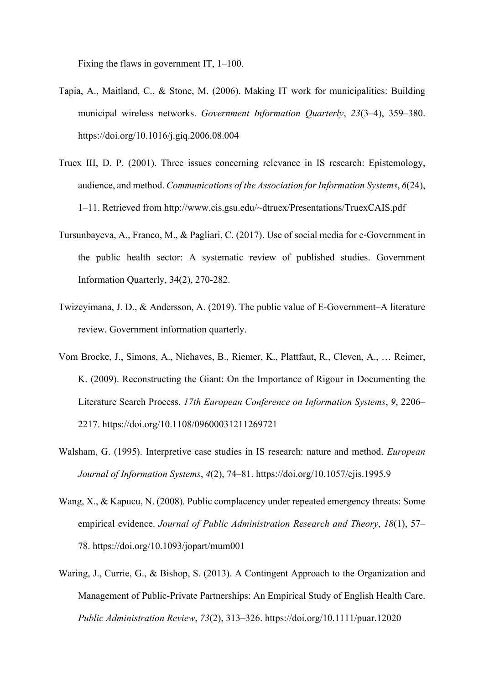Fixing the flaws in government IT, 1–100.

- Tapia, A., Maitland, C., & Stone, M. (2006). Making IT work for municipalities: Building municipal wireless networks. *Government Information Quarterly*, *23*(3–4), 359–380. https://doi.org/10.1016/j.giq.2006.08.004
- Truex III, D. P. (2001). Three issues concerning relevance in IS research: Epistemology, audience, and method. *Communications of the Association for Information Systems*, *6*(24), 1–11. Retrieved from http://www.cis.gsu.edu/~dtruex/Presentations/TruexCAIS.pdf
- Tursunbayeva, A., Franco, M., & Pagliari, C. (2017). Use of social media for e-Government in the public health sector: A systematic review of published studies. Government Information Quarterly, 34(2), 270-282.
- Twizeyimana, J. D., & Andersson, A. (2019). The public value of E-Government–A literature review. Government information quarterly.
- Vom Brocke, J., Simons, A., Niehaves, B., Riemer, K., Plattfaut, R., Cleven, A., … Reimer, K. (2009). Reconstructing the Giant: On the Importance of Rigour in Documenting the Literature Search Process. *17th European Conference on Information Systems*, *9*, 2206– 2217. https://doi.org/10.1108/09600031211269721
- Walsham, G. (1995). Interpretive case studies in IS research: nature and method. *European Journal of Information Systems*, *4*(2), 74–81. https://doi.org/10.1057/ejis.1995.9
- Wang, X., & Kapucu, N. (2008). Public complacency under repeated emergency threats: Some empirical evidence. *Journal of Public Administration Research and Theory*, *18*(1), 57– 78. https://doi.org/10.1093/jopart/mum001
- Waring, J., Currie, G., & Bishop, S. (2013). A Contingent Approach to the Organization and Management of Public-Private Partnerships: An Empirical Study of English Health Care. *Public Administration Review*, *73*(2), 313–326. https://doi.org/10.1111/puar.12020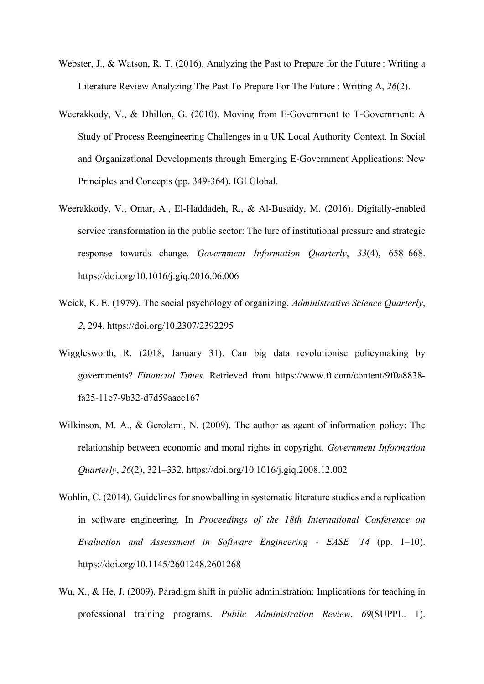- Webster, J., & Watson, R. T. (2016). Analyzing the Past to Prepare for the Future : Writing a Literature Review Analyzing The Past To Prepare For The Future : Writing A, *26*(2).
- Weerakkody, V., & Dhillon, G. (2010). Moving from E-Government to T-Government: A Study of Process Reengineering Challenges in a UK Local Authority Context. In Social and Organizational Developments through Emerging E-Government Applications: New Principles and Concepts (pp. 349-364). IGI Global.
- Weerakkody, V., Omar, A., El-Haddadeh, R., & Al-Busaidy, M. (2016). Digitally-enabled service transformation in the public sector: The lure of institutional pressure and strategic response towards change. *Government Information Quarterly*, *33*(4), 658–668. https://doi.org/10.1016/j.giq.2016.06.006
- Weick, K. E. (1979). The social psychology of organizing. *Administrative Science Quarterly*, *2*, 294. https://doi.org/10.2307/2392295
- Wigglesworth, R. (2018, January 31). Can big data revolutionise policymaking by governments? *Financial Times*. Retrieved from https://www.ft.com/content/9f0a8838 fa25-11e7-9b32-d7d59aace167
- Wilkinson, M. A., & Gerolami, N. (2009). The author as agent of information policy: The relationship between economic and moral rights in copyright. *Government Information Quarterly*, *26*(2), 321–332. https://doi.org/10.1016/j.giq.2008.12.002
- Wohlin, C. (2014). Guidelines for snowballing in systematic literature studies and a replication in software engineering. In *Proceedings of the 18th International Conference on Evaluation and Assessment in Software Engineering - EASE '14* (pp. 1–10). https://doi.org/10.1145/2601248.2601268
- Wu, X., & He, J. (2009). Paradigm shift in public administration: Implications for teaching in professional training programs. *Public Administration Review*, *69*(SUPPL. 1).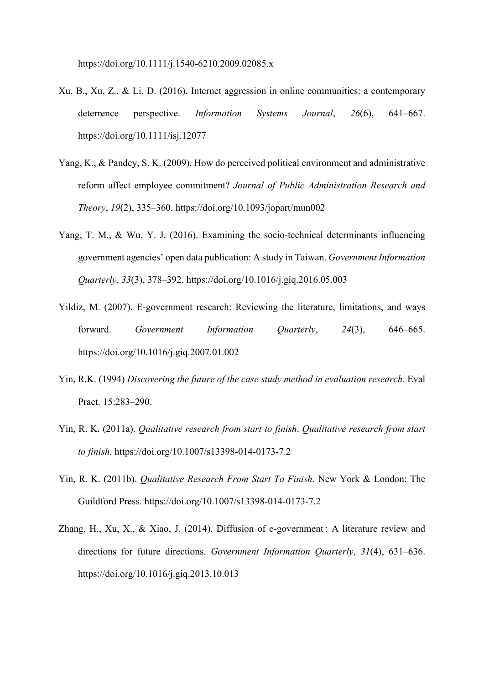https://doi.org/10.1111/j.1540-6210.2009.02085.x

- Xu, B., Xu, Z., & Li, D. (2016). Internet aggression in online communities: a contemporary deterrence perspective. *Information Systems Journal*, *26*(6), 641–667. https://doi.org/10.1111/isj.12077
- Yang, K., & Pandey, S. K. (2009). How do perceived political environment and administrative reform affect employee commitment? *Journal of Public Administration Research and Theory*, *19*(2), 335–360. https://doi.org/10.1093/jopart/mun002
- Yang, T. M., & Wu, Y. J. (2016). Examining the socio-technical determinants influencing government agencies' open data publication: A study in Taiwan. *Government Information Quarterly*, *33*(3), 378–392. https://doi.org/10.1016/j.giq.2016.05.003
- Yildiz, M. (2007). E-government research: Reviewing the literature, limitations, and ways forward. *Government Information Quarterly*, *24*(3), 646–665. https://doi.org/10.1016/j.giq.2007.01.002
- Yin, R.K. (1994) *Discovering the future of the case study method in evaluation research.* Eval Pract. 15:283–290.
- Yin, R. K. (2011a). *Qualitative research from start to finish*. *Qualitative research from start to finish.* https://doi.org/10.1007/s13398-014-0173-7.2
- Yin, R. K. (2011b). *Qualitative Research From Start To Finish*. New York & London: The Guildford Press. https://doi.org/10.1007/s13398-014-0173-7.2
- Zhang, H., Xu, X., & Xiao, J. (2014). Diffusion of e-government : A literature review and directions for future directions. *Government Information Quarterly*, *31*(4), 631–636. https://doi.org/10.1016/j.giq.2013.10.013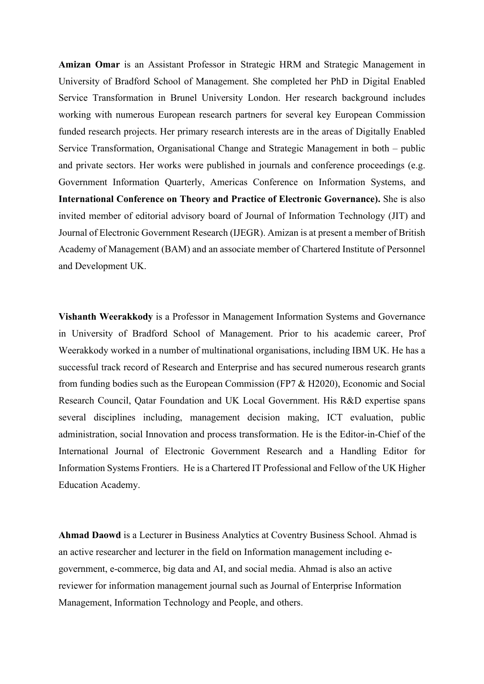**Amizan Omar** is an Assistant Professor in Strategic HRM and Strategic Management in University of Bradford School of Management. She completed her PhD in Digital Enabled Service Transformation in Brunel University London. Her research background includes working with numerous European research partners for several key European Commission funded research projects. Her primary research interests are in the areas of Digitally Enabled Service Transformation, Organisational Change and Strategic Management in both – public and private sectors. Her works were published in journals and conference proceedings (e.g. Government Information Quarterly, Americas Conference on Information Systems, and **International Conference on Theory and Practice of Electronic Governance).** She is also invited member of editorial advisory board of Journal of Information Technology (JIT) and Journal of Electronic Government Research (IJEGR). Amizan is at present a member of British Academy of Management (BAM) and an associate member of Chartered Institute of Personnel and Development UK.

**Vishanth Weerakkody** is a Professor in Management Information Systems and Governance in University of Bradford School of Management. Prior to his academic career, Prof Weerakkody worked in a number of multinational organisations, including IBM UK. He has a successful track record of Research and Enterprise and has secured numerous research grants from funding bodies such as the European Commission (FP7 & H2020), Economic and Social Research Council, Qatar Foundation and UK Local Government. His R&D expertise spans several disciplines including, management decision making, ICT evaluation, public administration, social Innovation and process transformation. He is the Editor-in-Chief of the International Journal of Electronic Government Research and a Handling Editor for Information Systems Frontiers. He is a Chartered IT Professional and Fellow of the UK Higher Education Academy.

**Ahmad Daowd** is a Lecturer in Business Analytics at Coventry Business School. Ahmad is an active researcher and lecturer in the field on Information management including egovernment, e-commerce, big data and AI, and social media. Ahmad is also an active reviewer for information management journal such as Journal of Enterprise Information Management, Information Technology and People, and others.